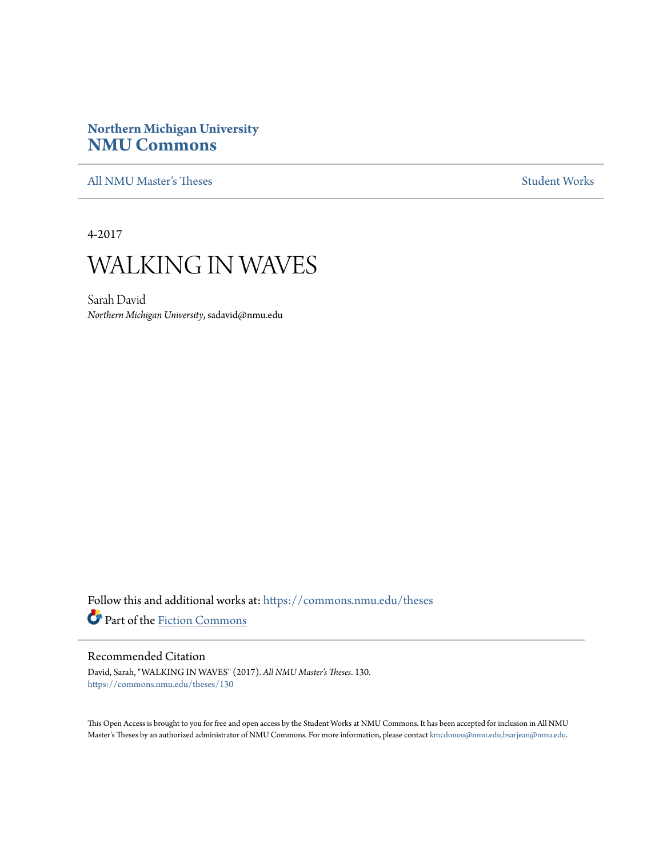## **Northern Michigan University [NMU Commons](https://commons.nmu.edu?utm_source=commons.nmu.edu%2Ftheses%2F130&utm_medium=PDF&utm_campaign=PDFCoverPages)**

[All NMU Master's Theses](https://commons.nmu.edu/theses?utm_source=commons.nmu.edu%2Ftheses%2F130&utm_medium=PDF&utm_campaign=PDFCoverPages) [Student Works](https://commons.nmu.edu/student_works?utm_source=commons.nmu.edu%2Ftheses%2F130&utm_medium=PDF&utm_campaign=PDFCoverPages)

4-2017

## WALKING IN WAVES

Sarah David *Northern Michigan University*, sadavid@nmu.edu

Follow this and additional works at: [https://commons.nmu.edu/theses](https://commons.nmu.edu/theses?utm_source=commons.nmu.edu%2Ftheses%2F130&utm_medium=PDF&utm_campaign=PDFCoverPages) Part of the [Fiction Commons](http://network.bepress.com/hgg/discipline/1151?utm_source=commons.nmu.edu%2Ftheses%2F130&utm_medium=PDF&utm_campaign=PDFCoverPages)

#### Recommended Citation

David, Sarah, "WALKING IN WAVES" (2017). *All NMU Master's Theses*. 130. [https://commons.nmu.edu/theses/130](https://commons.nmu.edu/theses/130?utm_source=commons.nmu.edu%2Ftheses%2F130&utm_medium=PDF&utm_campaign=PDFCoverPages)

This Open Access is brought to you for free and open access by the Student Works at NMU Commons. It has been accepted for inclusion in All NMU Master's Theses by an authorized administrator of NMU Commons. For more information, please contact [kmcdonou@nmu.edu,bsarjean@nmu.edu.](mailto:kmcdonou@nmu.edu,bsarjean@nmu.edu)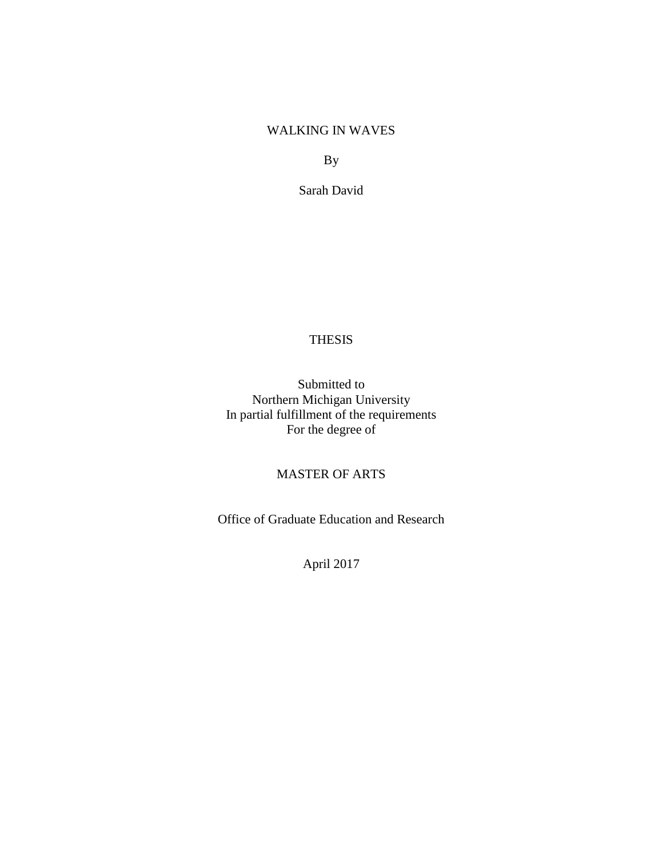## WALKING IN WAVES

By

Sarah David

#### THESIS

Submitted to Northern Michigan University In partial fulfillment of the requirements For the degree of

## MASTER OF ARTS

Office of Graduate Education and Research

April 2017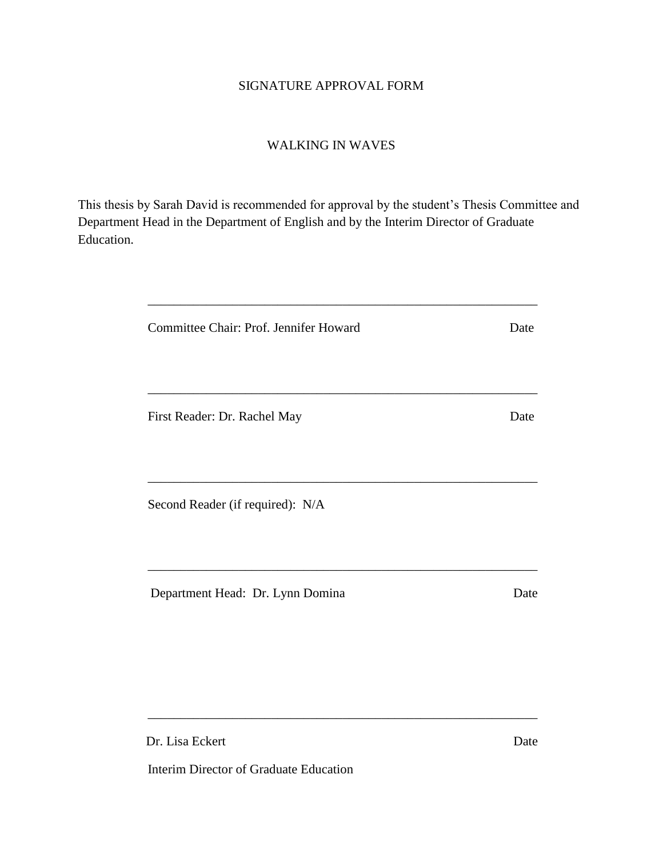## SIGNATURE APPROVAL FORM

### WALKING IN WAVES

This thesis by Sarah David is recommended for approval by the student's Thesis Committee and Department Head in the Department of English and by the Interim Director of Graduate Education.

| Committee Chair: Prof. Jennifer Howard | Date |
|----------------------------------------|------|
| First Reader: Dr. Rachel May           | Date |
|                                        |      |
| Second Reader (if required): N/A       |      |
|                                        |      |
| Department Head: Dr. Lynn Domina       | Date |

\_\_\_\_\_\_\_\_\_\_\_\_\_\_\_\_\_\_\_\_\_\_\_\_\_\_\_\_\_\_\_\_\_\_\_\_\_\_\_\_\_\_\_\_\_\_\_\_\_\_\_\_\_\_\_\_\_\_\_\_

Dr. Lisa Eckert Date

Interim Director of Graduate Education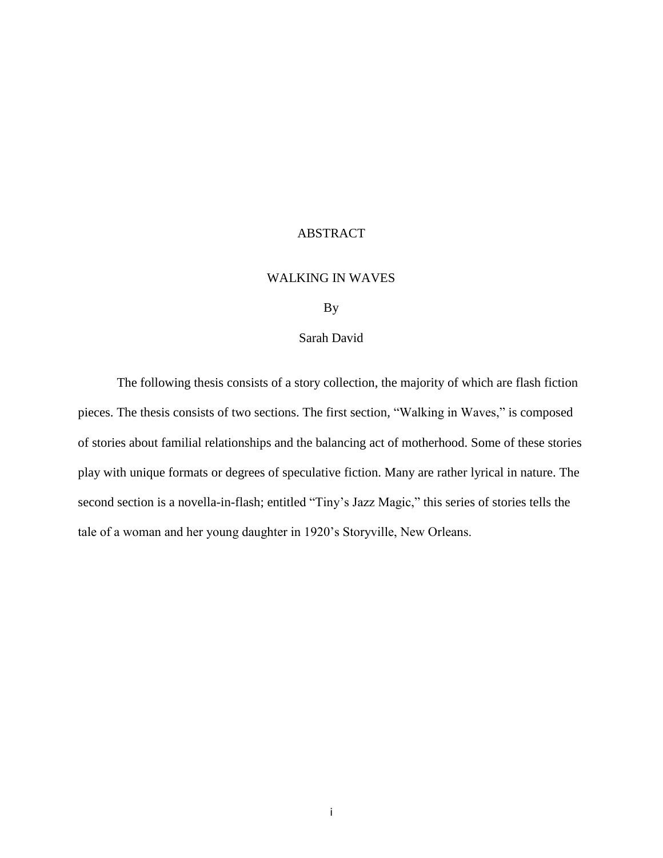## ABSTRACT

#### WALKING IN WAVES

#### By

#### Sarah David

The following thesis consists of a story collection, the majority of which are flash fiction pieces. The thesis consists of two sections. The first section, "Walking in Waves," is composed of stories about familial relationships and the balancing act of motherhood. Some of these stories play with unique formats or degrees of speculative fiction. Many are rather lyrical in nature. The second section is a novella-in-flash; entitled "Tiny's Jazz Magic," this series of stories tells the tale of a woman and her young daughter in 1920's Storyville, New Orleans.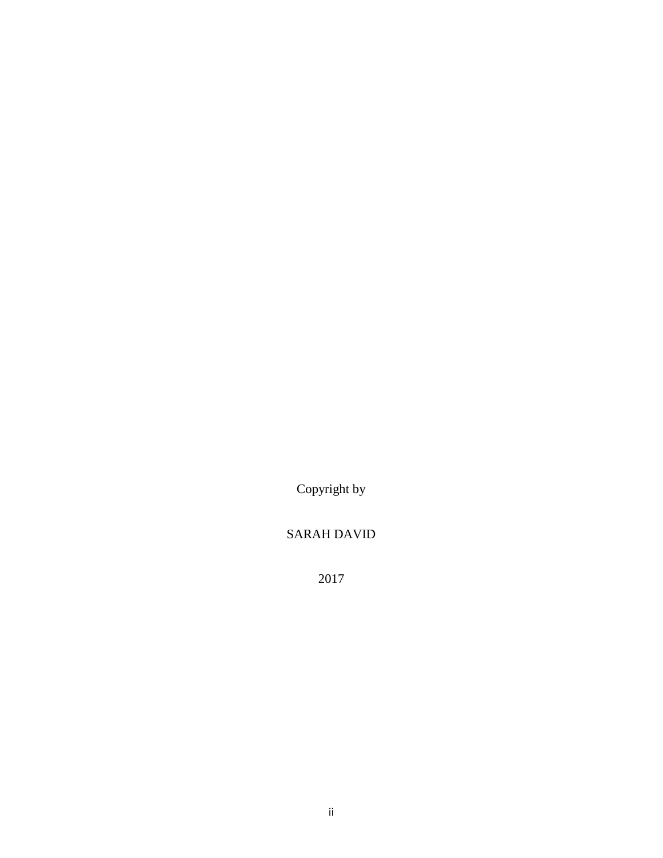Copyright by

## SARAH DAVID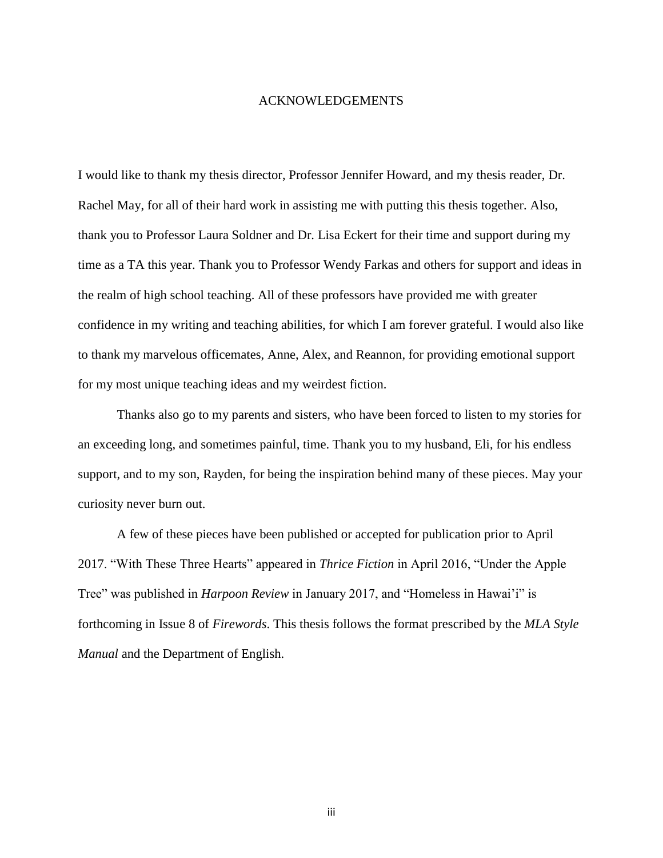#### ACKNOWLEDGEMENTS

I would like to thank my thesis director, Professor Jennifer Howard, and my thesis reader, Dr. Rachel May, for all of their hard work in assisting me with putting this thesis together. Also, thank you to Professor Laura Soldner and Dr. Lisa Eckert for their time and support during my time as a TA this year. Thank you to Professor Wendy Farkas and others for support and ideas in the realm of high school teaching. All of these professors have provided me with greater confidence in my writing and teaching abilities, for which I am forever grateful. I would also like to thank my marvelous officemates, Anne, Alex, and Reannon, for providing emotional support for my most unique teaching ideas and my weirdest fiction.

Thanks also go to my parents and sisters, who have been forced to listen to my stories for an exceeding long, and sometimes painful, time. Thank you to my husband, Eli, for his endless support, and to my son, Rayden, for being the inspiration behind many of these pieces. May your curiosity never burn out.

A few of these pieces have been published or accepted for publication prior to April 2017. "With These Three Hearts" appeared in *Thrice Fiction* in April 2016, "Under the Apple Tree" was published in *Harpoon Review* in January 2017, and "Homeless in Hawai'i" is forthcoming in Issue 8 of *Firewords*. This thesis follows the format prescribed by the *MLA Style Manual* and the Department of English.

iii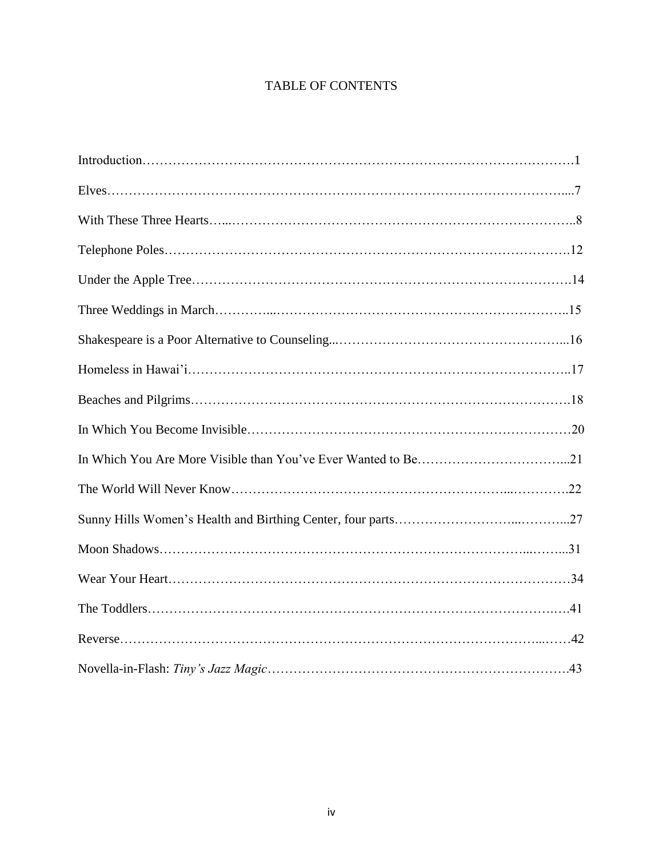## TABLE OF CONTENTS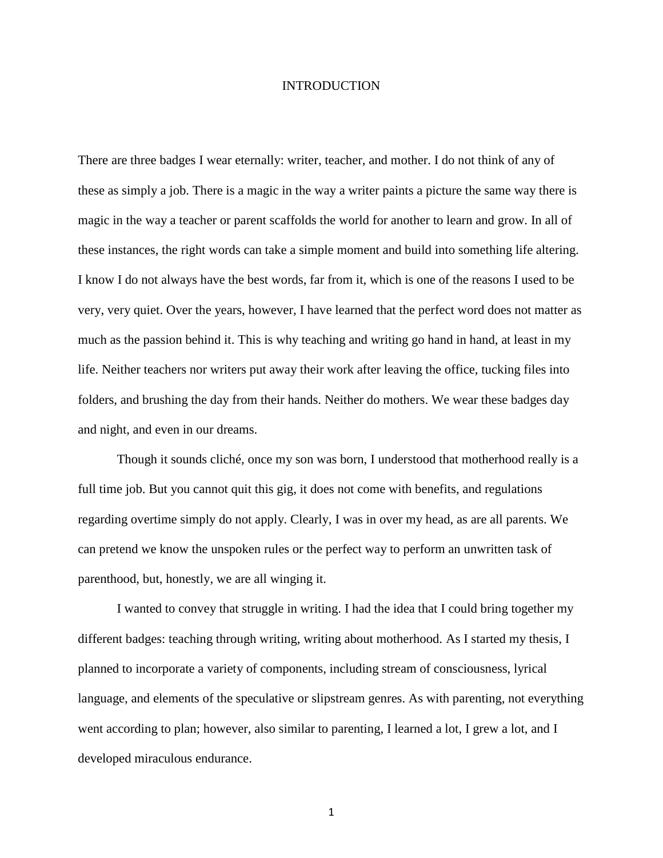#### INTRODUCTION

There are three badges I wear eternally: writer, teacher, and mother. I do not think of any of these as simply a job. There is a magic in the way a writer paints a picture the same way there is magic in the way a teacher or parent scaffolds the world for another to learn and grow. In all of these instances, the right words can take a simple moment and build into something life altering. I know I do not always have the best words, far from it, which is one of the reasons I used to be very, very quiet. Over the years, however, I have learned that the perfect word does not matter as much as the passion behind it. This is why teaching and writing go hand in hand, at least in my life. Neither teachers nor writers put away their work after leaving the office, tucking files into folders, and brushing the day from their hands. Neither do mothers. We wear these badges day and night, and even in our dreams.

Though it sounds cliché, once my son was born, I understood that motherhood really is a full time job. But you cannot quit this gig, it does not come with benefits, and regulations regarding overtime simply do not apply. Clearly, I was in over my head, as are all parents. We can pretend we know the unspoken rules or the perfect way to perform an unwritten task of parenthood, but, honestly, we are all winging it.

I wanted to convey that struggle in writing. I had the idea that I could bring together my different badges: teaching through writing, writing about motherhood. As I started my thesis, I planned to incorporate a variety of components, including stream of consciousness, lyrical language, and elements of the speculative or slipstream genres. As with parenting, not everything went according to plan; however, also similar to parenting, I learned a lot, I grew a lot, and I developed miraculous endurance.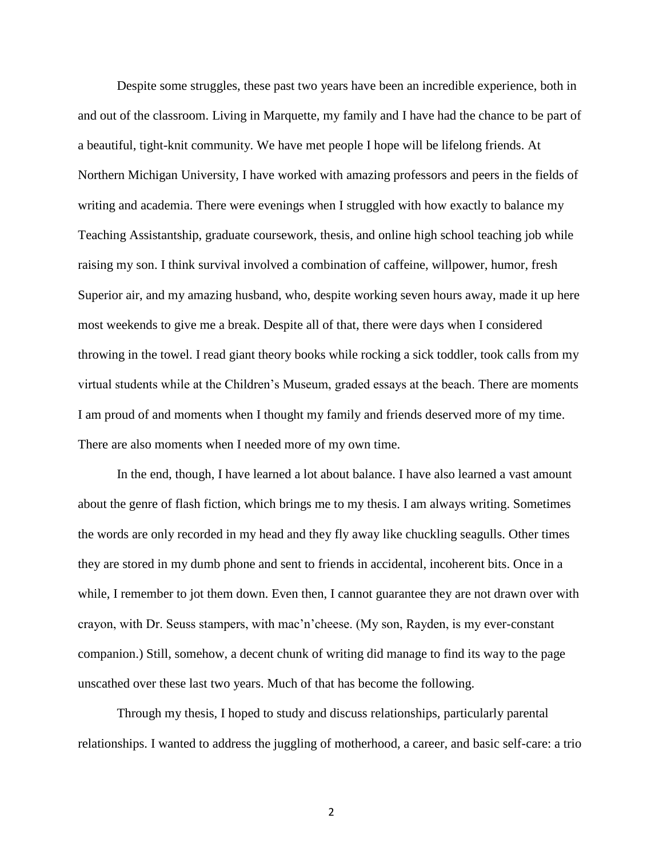Despite some struggles, these past two years have been an incredible experience, both in and out of the classroom. Living in Marquette, my family and I have had the chance to be part of a beautiful, tight-knit community. We have met people I hope will be lifelong friends. At Northern Michigan University, I have worked with amazing professors and peers in the fields of writing and academia. There were evenings when I struggled with how exactly to balance my Teaching Assistantship, graduate coursework, thesis, and online high school teaching job while raising my son. I think survival involved a combination of caffeine, willpower, humor, fresh Superior air, and my amazing husband, who, despite working seven hours away, made it up here most weekends to give me a break. Despite all of that, there were days when I considered throwing in the towel. I read giant theory books while rocking a sick toddler, took calls from my virtual students while at the Children's Museum, graded essays at the beach. There are moments I am proud of and moments when I thought my family and friends deserved more of my time. There are also moments when I needed more of my own time.

In the end, though, I have learned a lot about balance. I have also learned a vast amount about the genre of flash fiction, which brings me to my thesis. I am always writing. Sometimes the words are only recorded in my head and they fly away like chuckling seagulls. Other times they are stored in my dumb phone and sent to friends in accidental, incoherent bits. Once in a while, I remember to jot them down. Even then, I cannot guarantee they are not drawn over with crayon, with Dr. Seuss stampers, with mac'n'cheese. (My son, Rayden, is my ever-constant companion.) Still, somehow, a decent chunk of writing did manage to find its way to the page unscathed over these last two years. Much of that has become the following.

Through my thesis, I hoped to study and discuss relationships, particularly parental relationships. I wanted to address the juggling of motherhood, a career, and basic self-care: a trio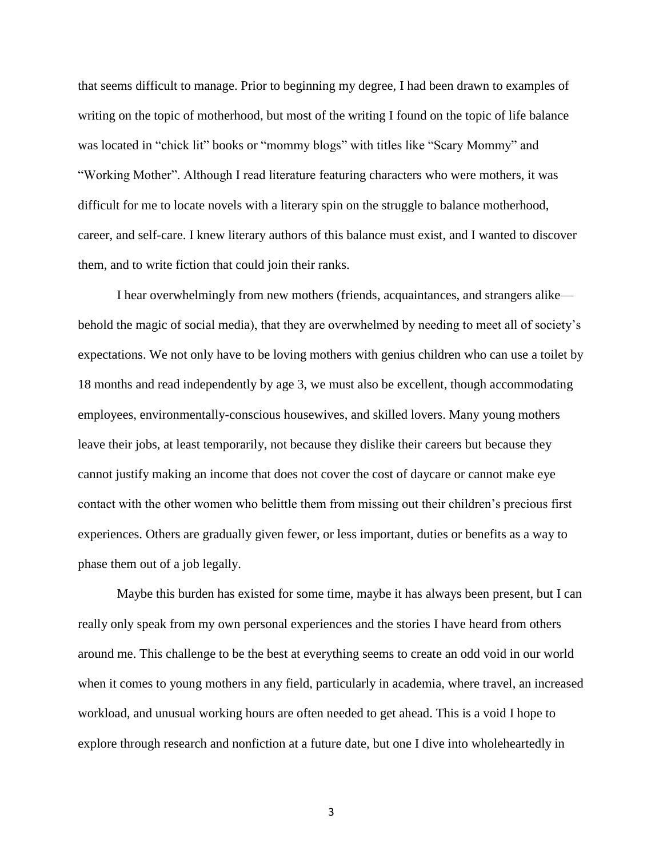that seems difficult to manage. Prior to beginning my degree, I had been drawn to examples of writing on the topic of motherhood, but most of the writing I found on the topic of life balance was located in "chick lit" books or "mommy blogs" with titles like "Scary Mommy" and "Working Mother". Although I read literature featuring characters who were mothers, it was difficult for me to locate novels with a literary spin on the struggle to balance motherhood, career, and self-care. I knew literary authors of this balance must exist, and I wanted to discover them, and to write fiction that could join their ranks.

I hear overwhelmingly from new mothers (friends, acquaintances, and strangers alike behold the magic of social media), that they are overwhelmed by needing to meet all of society's expectations. We not only have to be loving mothers with genius children who can use a toilet by 18 months and read independently by age 3, we must also be excellent, though accommodating employees, environmentally-conscious housewives, and skilled lovers. Many young mothers leave their jobs, at least temporarily, not because they dislike their careers but because they cannot justify making an income that does not cover the cost of daycare or cannot make eye contact with the other women who belittle them from missing out their children's precious first experiences. Others are gradually given fewer, or less important, duties or benefits as a way to phase them out of a job legally.

Maybe this burden has existed for some time, maybe it has always been present, but I can really only speak from my own personal experiences and the stories I have heard from others around me. This challenge to be the best at everything seems to create an odd void in our world when it comes to young mothers in any field, particularly in academia, where travel, an increased workload, and unusual working hours are often needed to get ahead. This is a void I hope to explore through research and nonfiction at a future date, but one I dive into wholeheartedly in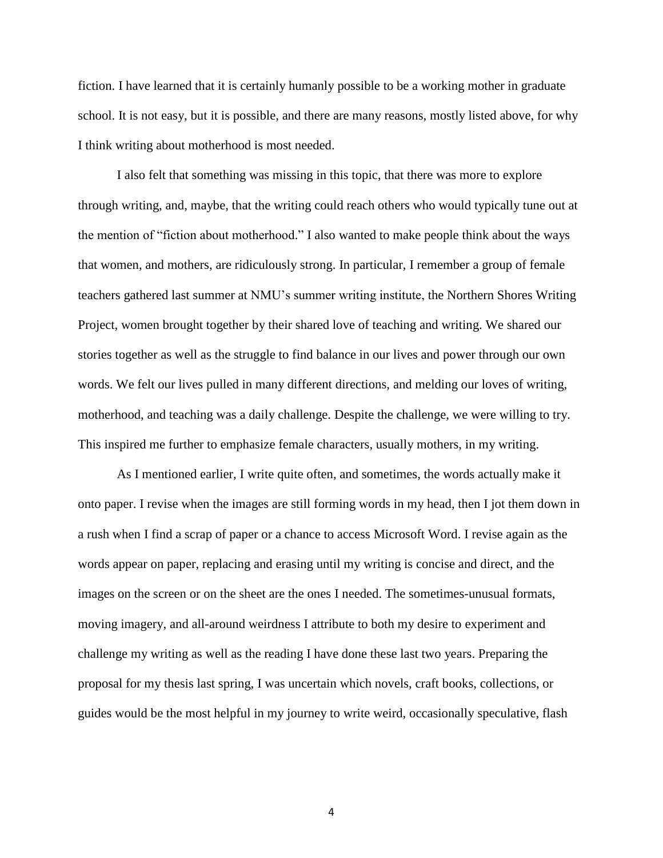fiction. I have learned that it is certainly humanly possible to be a working mother in graduate school. It is not easy, but it is possible, and there are many reasons, mostly listed above, for why I think writing about motherhood is most needed.

I also felt that something was missing in this topic, that there was more to explore through writing, and, maybe, that the writing could reach others who would typically tune out at the mention of "fiction about motherhood." I also wanted to make people think about the ways that women, and mothers, are ridiculously strong. In particular, I remember a group of female teachers gathered last summer at NMU's summer writing institute, the Northern Shores Writing Project, women brought together by their shared love of teaching and writing. We shared our stories together as well as the struggle to find balance in our lives and power through our own words. We felt our lives pulled in many different directions, and melding our loves of writing, motherhood, and teaching was a daily challenge. Despite the challenge, we were willing to try. This inspired me further to emphasize female characters, usually mothers, in my writing.

As I mentioned earlier, I write quite often, and sometimes, the words actually make it onto paper. I revise when the images are still forming words in my head, then I jot them down in a rush when I find a scrap of paper or a chance to access Microsoft Word. I revise again as the words appear on paper, replacing and erasing until my writing is concise and direct, and the images on the screen or on the sheet are the ones I needed. The sometimes-unusual formats, moving imagery, and all-around weirdness I attribute to both my desire to experiment and challenge my writing as well as the reading I have done these last two years. Preparing the proposal for my thesis last spring, I was uncertain which novels, craft books, collections, or guides would be the most helpful in my journey to write weird, occasionally speculative, flash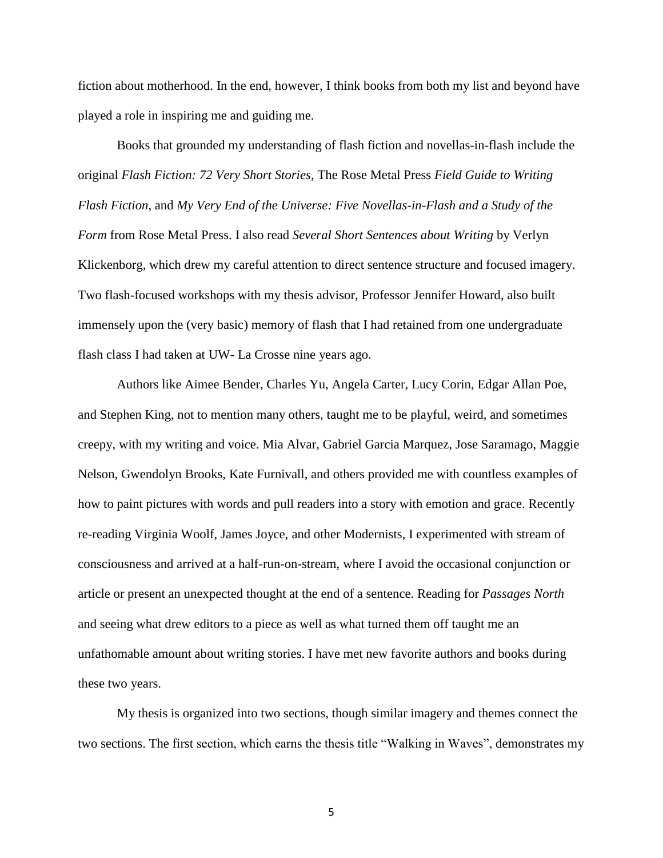fiction about motherhood. In the end, however, I think books from both my list and beyond have played a role in inspiring me and guiding me.

Books that grounded my understanding of flash fiction and novellas-in-flash include the original *Flash Fiction: 72 Very Short Stories*, The Rose Metal Press *Field Guide to Writing Flash Fiction*, and *My Very End of the Universe: Five Novellas-in-Flash and a Study of the Form* from Rose Metal Press. I also read *Several Short Sentences about Writing* by Verlyn Klickenborg, which drew my careful attention to direct sentence structure and focused imagery. Two flash-focused workshops with my thesis advisor, Professor Jennifer Howard, also built immensely upon the (very basic) memory of flash that I had retained from one undergraduate flash class I had taken at UW- La Crosse nine years ago.

Authors like Aimee Bender, Charles Yu, Angela Carter, Lucy Corin, Edgar Allan Poe, and Stephen King, not to mention many others, taught me to be playful, weird, and sometimes creepy, with my writing and voice. Mia Alvar, Gabriel Garcia Marquez, Jose Saramago, Maggie Nelson, Gwendolyn Brooks, Kate Furnivall, and others provided me with countless examples of how to paint pictures with words and pull readers into a story with emotion and grace. Recently re-reading Virginia Woolf, James Joyce, and other Modernists, I experimented with stream of consciousness and arrived at a half-run-on-stream, where I avoid the occasional conjunction or article or present an unexpected thought at the end of a sentence. Reading for *Passages North* and seeing what drew editors to a piece as well as what turned them off taught me an unfathomable amount about writing stories. I have met new favorite authors and books during these two years.

My thesis is organized into two sections, though similar imagery and themes connect the two sections. The first section, which earns the thesis title "Walking in Waves", demonstrates my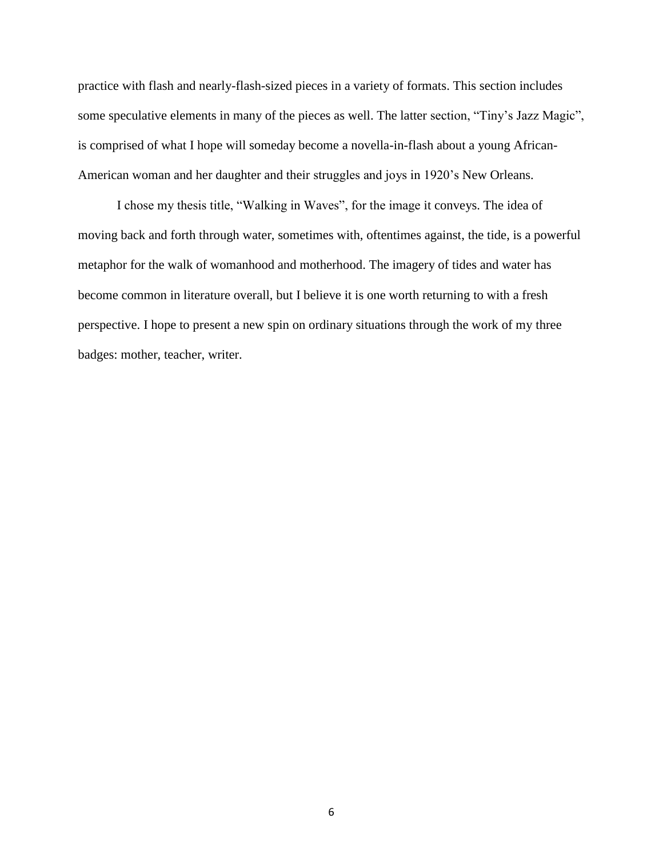practice with flash and nearly-flash-sized pieces in a variety of formats. This section includes some speculative elements in many of the pieces as well. The latter section, "Tiny's Jazz Magic", is comprised of what I hope will someday become a novella-in-flash about a young African-American woman and her daughter and their struggles and joys in 1920's New Orleans.

I chose my thesis title, "Walking in Waves", for the image it conveys. The idea of moving back and forth through water, sometimes with, oftentimes against, the tide, is a powerful metaphor for the walk of womanhood and motherhood. The imagery of tides and water has become common in literature overall, but I believe it is one worth returning to with a fresh perspective. I hope to present a new spin on ordinary situations through the work of my three badges: mother, teacher, writer.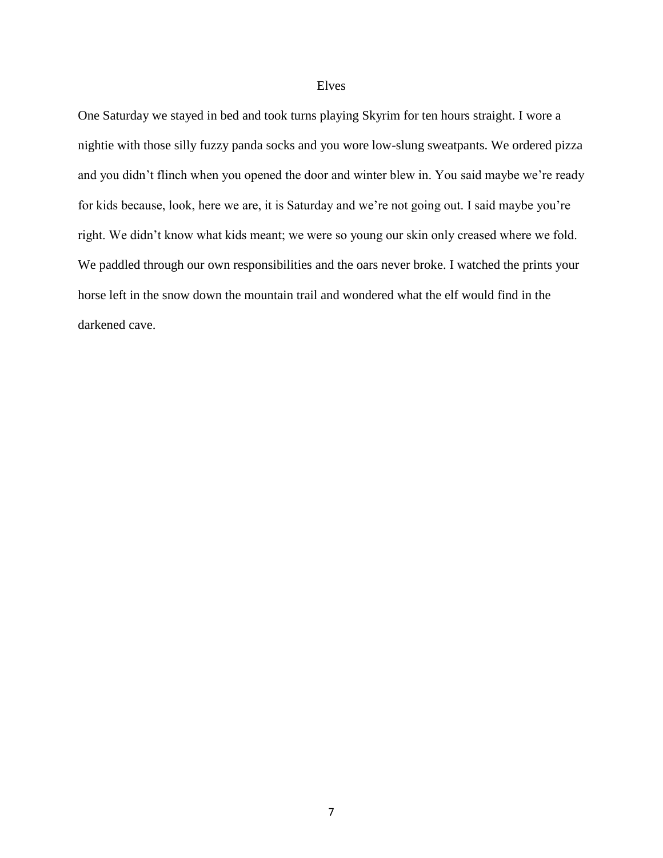#### Elves

One Saturday we stayed in bed and took turns playing Skyrim for ten hours straight. I wore a nightie with those silly fuzzy panda socks and you wore low-slung sweatpants. We ordered pizza and you didn't flinch when you opened the door and winter blew in. You said maybe we're ready for kids because, look, here we are, it is Saturday and we're not going out. I said maybe you're right. We didn't know what kids meant; we were so young our skin only creased where we fold. We paddled through our own responsibilities and the oars never broke. I watched the prints your horse left in the snow down the mountain trail and wondered what the elf would find in the darkened cave.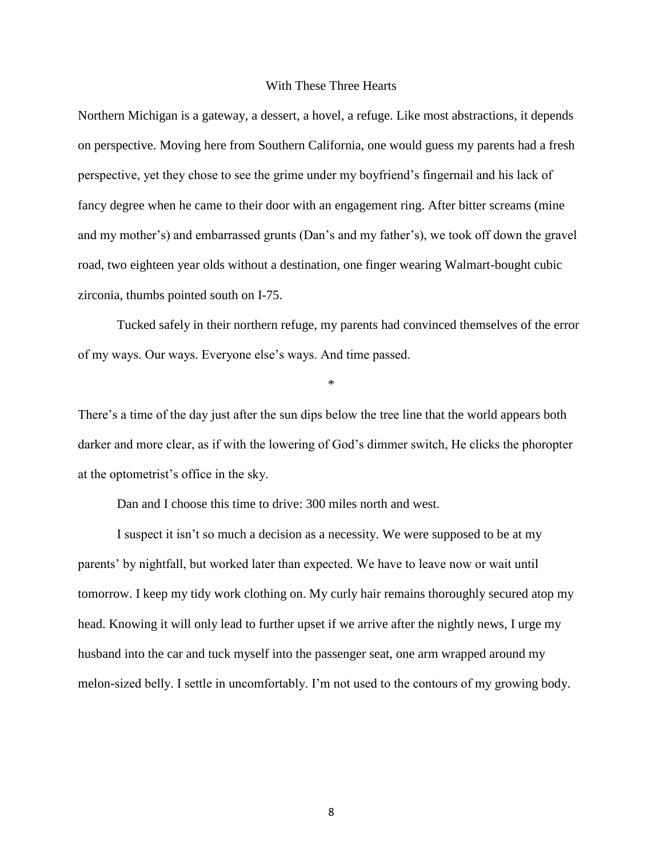#### With These Three Hearts

Northern Michigan is a gateway, a dessert, a hovel, a refuge. Like most abstractions, it depends on perspective. Moving here from Southern California, one would guess my parents had a fresh perspective, yet they chose to see the grime under my boyfriend's fingernail and his lack of fancy degree when he came to their door with an engagement ring. After bitter screams (mine and my mother's) and embarrassed grunts (Dan's and my father's), we took off down the gravel road, two eighteen year olds without a destination, one finger wearing Walmart-bought cubic zirconia, thumbs pointed south on I-75.

Tucked safely in their northern refuge, my parents had convinced themselves of the error of my ways. Our ways. Everyone else's ways. And time passed.

\*

There's a time of the day just after the sun dips below the tree line that the world appears both darker and more clear, as if with the lowering of God's dimmer switch, He clicks the phoropter at the optometrist's office in the sky.

Dan and I choose this time to drive: 300 miles north and west.

I suspect it isn't so much a decision as a necessity. We were supposed to be at my parents' by nightfall, but worked later than expected. We have to leave now or wait until tomorrow. I keep my tidy work clothing on. My curly hair remains thoroughly secured atop my head. Knowing it will only lead to further upset if we arrive after the nightly news, I urge my husband into the car and tuck myself into the passenger seat, one arm wrapped around my melon-sized belly. I settle in uncomfortably. I'm not used to the contours of my growing body.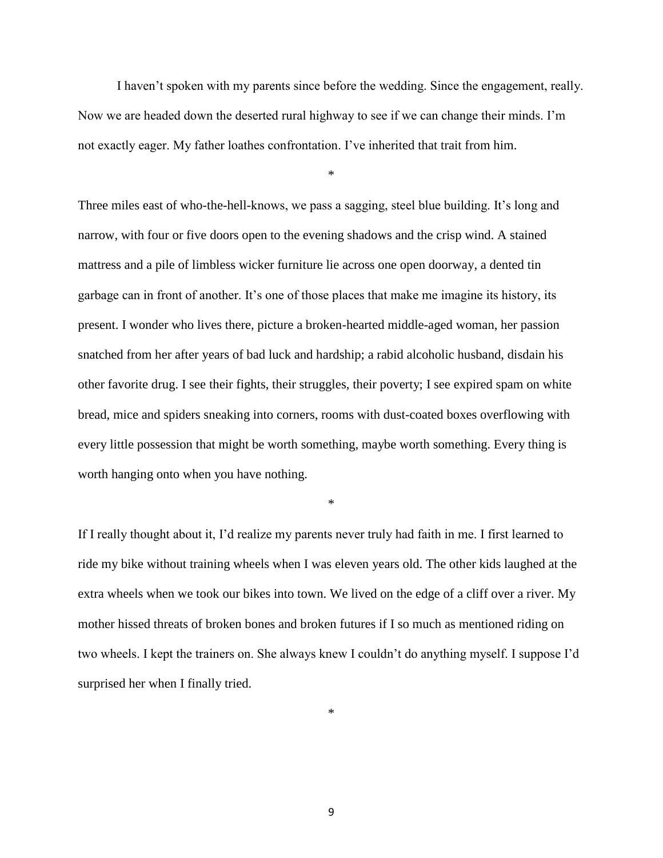I haven't spoken with my parents since before the wedding. Since the engagement, really. Now we are headed down the deserted rural highway to see if we can change their minds. I'm not exactly eager. My father loathes confrontation. I've inherited that trait from him.

\*

Three miles east of who-the-hell-knows, we pass a sagging, steel blue building. It's long and narrow, with four or five doors open to the evening shadows and the crisp wind. A stained mattress and a pile of limbless wicker furniture lie across one open doorway, a dented tin garbage can in front of another. It's one of those places that make me imagine its history, its present. I wonder who lives there, picture a broken-hearted middle-aged woman, her passion snatched from her after years of bad luck and hardship; a rabid alcoholic husband, disdain his other favorite drug. I see their fights, their struggles, their poverty; I see expired spam on white bread, mice and spiders sneaking into corners, rooms with dust-coated boxes overflowing with every little possession that might be worth something, maybe worth something. Every thing is worth hanging onto when you have nothing.

\*

If I really thought about it, I'd realize my parents never truly had faith in me. I first learned to ride my bike without training wheels when I was eleven years old. The other kids laughed at the extra wheels when we took our bikes into town. We lived on the edge of a cliff over a river. My mother hissed threats of broken bones and broken futures if I so much as mentioned riding on two wheels. I kept the trainers on. She always knew I couldn't do anything myself. I suppose I'd surprised her when I finally tried.

\*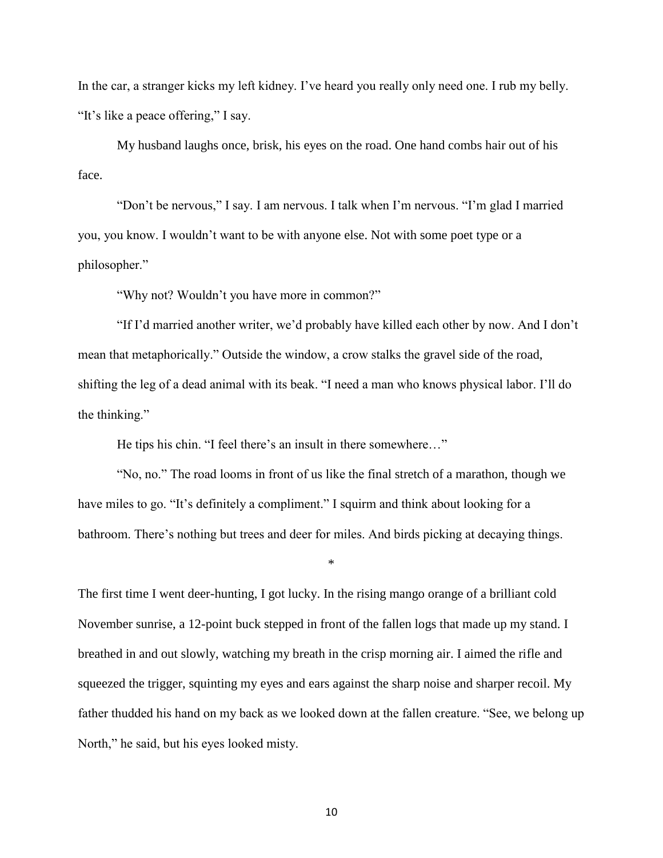In the car, a stranger kicks my left kidney. I've heard you really only need one. I rub my belly. "It's like a peace offering," I say.

My husband laughs once, brisk, his eyes on the road. One hand combs hair out of his face.

"Don't be nervous," I say. I am nervous. I talk when I'm nervous. "I'm glad I married you, you know. I wouldn't want to be with anyone else. Not with some poet type or a philosopher."

"Why not? Wouldn't you have more in common?"

"If I'd married another writer, we'd probably have killed each other by now. And I don't mean that metaphorically." Outside the window, a crow stalks the gravel side of the road, shifting the leg of a dead animal with its beak. "I need a man who knows physical labor. I'll do the thinking."

He tips his chin. "I feel there's an insult in there somewhere…"

"No, no." The road looms in front of us like the final stretch of a marathon, though we have miles to go. "It's definitely a compliment." I squirm and think about looking for a bathroom. There's nothing but trees and deer for miles. And birds picking at decaying things.

\*

The first time I went deer-hunting, I got lucky. In the rising mango orange of a brilliant cold November sunrise, a 12-point buck stepped in front of the fallen logs that made up my stand. I breathed in and out slowly, watching my breath in the crisp morning air. I aimed the rifle and squeezed the trigger, squinting my eyes and ears against the sharp noise and sharper recoil. My father thudded his hand on my back as we looked down at the fallen creature. "See, we belong up North," he said, but his eyes looked misty.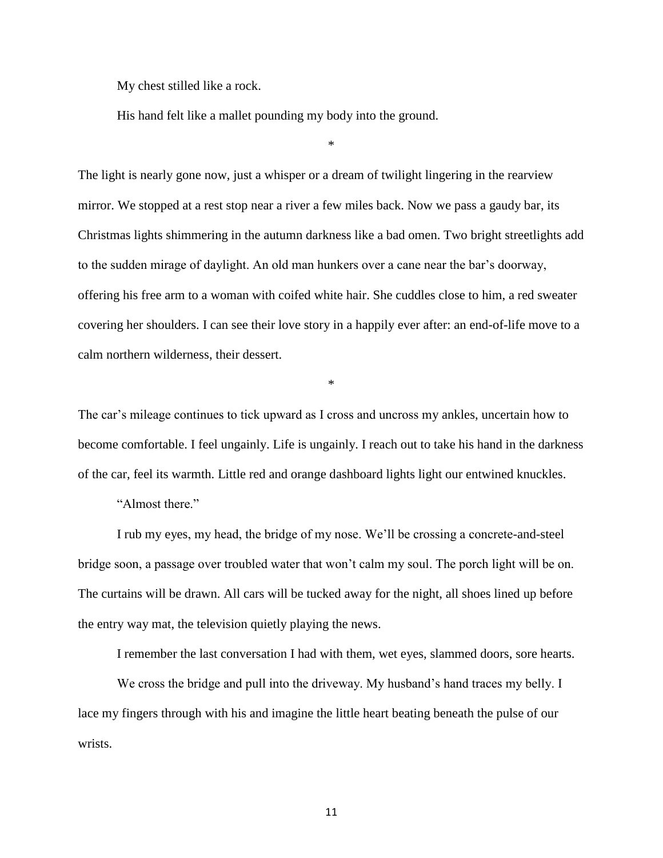My chest stilled like a rock.

His hand felt like a mallet pounding my body into the ground.

\*

The light is nearly gone now, just a whisper or a dream of twilight lingering in the rearview mirror. We stopped at a rest stop near a river a few miles back. Now we pass a gaudy bar, its Christmas lights shimmering in the autumn darkness like a bad omen. Two bright streetlights add to the sudden mirage of daylight. An old man hunkers over a cane near the bar's doorway, offering his free arm to a woman with coifed white hair. She cuddles close to him, a red sweater covering her shoulders. I can see their love story in a happily ever after: an end-of-life move to a calm northern wilderness, their dessert.

\*

The car's mileage continues to tick upward as I cross and uncross my ankles, uncertain how to become comfortable. I feel ungainly. Life is ungainly. I reach out to take his hand in the darkness of the car, feel its warmth. Little red and orange dashboard lights light our entwined knuckles.

"Almost there."

I rub my eyes, my head, the bridge of my nose. We'll be crossing a concrete-and-steel bridge soon, a passage over troubled water that won't calm my soul. The porch light will be on. The curtains will be drawn. All cars will be tucked away for the night, all shoes lined up before the entry way mat, the television quietly playing the news.

I remember the last conversation I had with them, wet eyes, slammed doors, sore hearts.

We cross the bridge and pull into the driveway. My husband's hand traces my belly. I lace my fingers through with his and imagine the little heart beating beneath the pulse of our wrists.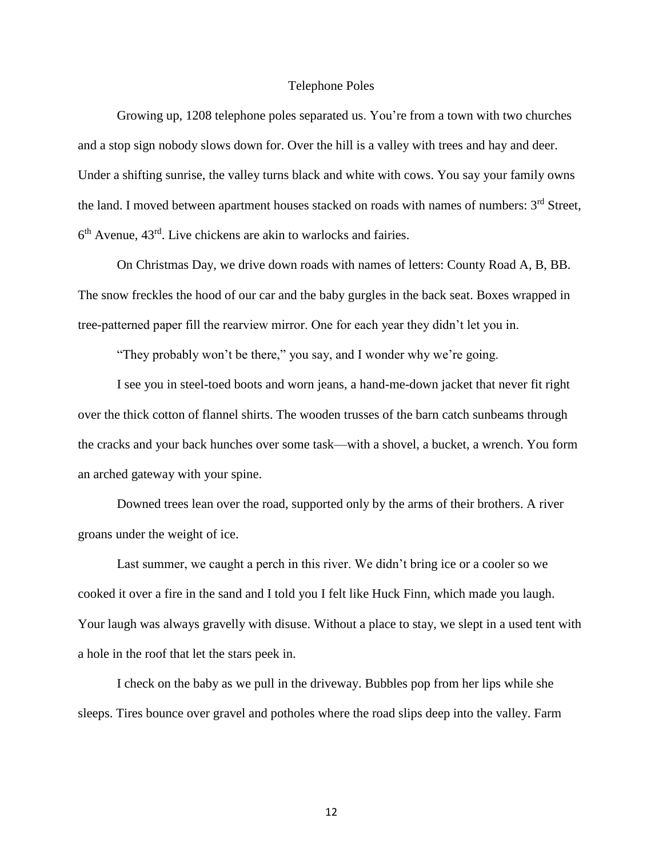#### Telephone Poles

Growing up, 1208 telephone poles separated us. You're from a town with two churches and a stop sign nobody slows down for. Over the hill is a valley with trees and hay and deer. Under a shifting sunrise, the valley turns black and white with cows. You say your family owns the land. I moved between apartment houses stacked on roads with names of numbers:  $3<sup>rd</sup>$  Street, 6<sup>th</sup> Avenue, 43<sup>rd</sup>. Live chickens are akin to warlocks and fairies.

On Christmas Day, we drive down roads with names of letters: County Road A, B, BB. The snow freckles the hood of our car and the baby gurgles in the back seat. Boxes wrapped in tree-patterned paper fill the rearview mirror. One for each year they didn't let you in.

"They probably won't be there," you say, and I wonder why we're going.

I see you in steel-toed boots and worn jeans, a hand-me-down jacket that never fit right over the thick cotton of flannel shirts. The wooden trusses of the barn catch sunbeams through the cracks and your back hunches over some task—with a shovel, a bucket, a wrench. You form an arched gateway with your spine.

Downed trees lean over the road, supported only by the arms of their brothers. A river groans under the weight of ice.

Last summer, we caught a perch in this river. We didn't bring ice or a cooler so we cooked it over a fire in the sand and I told you I felt like Huck Finn, which made you laugh. Your laugh was always gravelly with disuse. Without a place to stay, we slept in a used tent with a hole in the roof that let the stars peek in.

I check on the baby as we pull in the driveway. Bubbles pop from her lips while she sleeps. Tires bounce over gravel and potholes where the road slips deep into the valley. Farm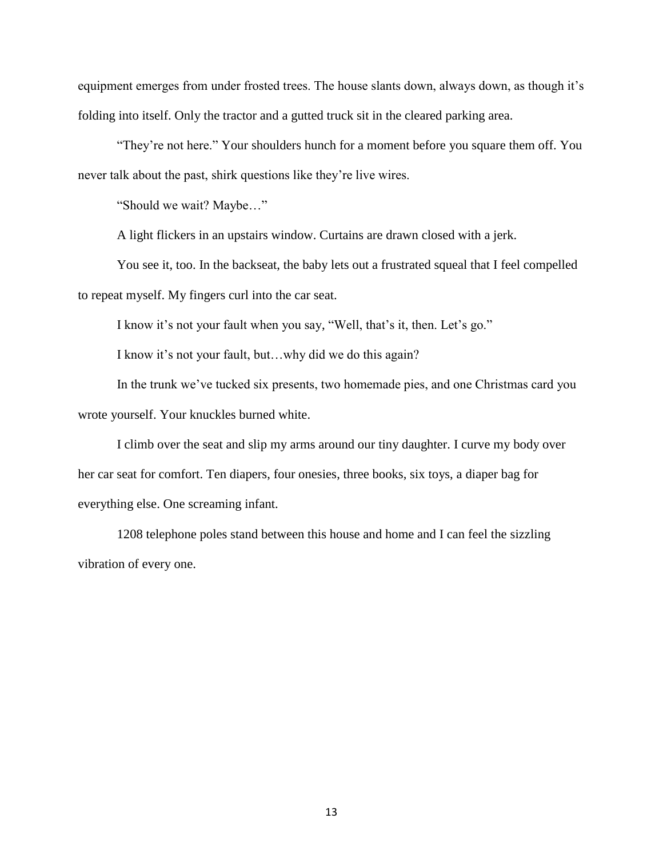equipment emerges from under frosted trees. The house slants down, always down, as though it's folding into itself. Only the tractor and a gutted truck sit in the cleared parking area.

"They're not here." Your shoulders hunch for a moment before you square them off. You never talk about the past, shirk questions like they're live wires.

"Should we wait? Maybe…"

A light flickers in an upstairs window. Curtains are drawn closed with a jerk.

You see it, too. In the backseat, the baby lets out a frustrated squeal that I feel compelled to repeat myself. My fingers curl into the car seat.

I know it's not your fault when you say, "Well, that's it, then. Let's go."

I know it's not your fault, but…why did we do this again?

In the trunk we've tucked six presents, two homemade pies, and one Christmas card you wrote yourself. Your knuckles burned white.

I climb over the seat and slip my arms around our tiny daughter. I curve my body over her car seat for comfort. Ten diapers, four onesies, three books, six toys, a diaper bag for everything else. One screaming infant.

1208 telephone poles stand between this house and home and I can feel the sizzling vibration of every one.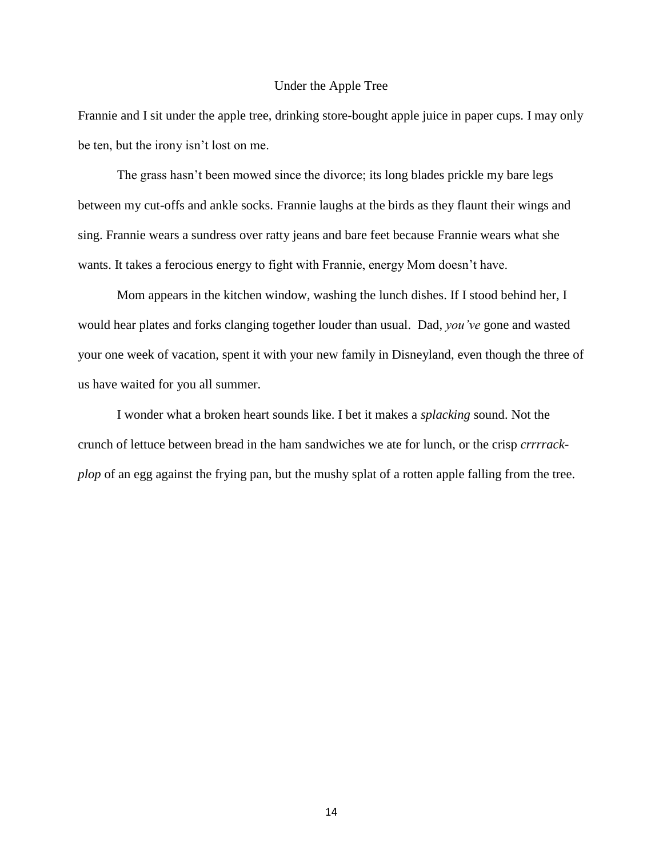#### Under the Apple Tree

Frannie and I sit under the apple tree, drinking store-bought apple juice in paper cups. I may only be ten, but the irony isn't lost on me.

The grass hasn't been mowed since the divorce; its long blades prickle my bare legs between my cut-offs and ankle socks. Frannie laughs at the birds as they flaunt their wings and sing. Frannie wears a sundress over ratty jeans and bare feet because Frannie wears what she wants. It takes a ferocious energy to fight with Frannie, energy Mom doesn't have.

Mom appears in the kitchen window, washing the lunch dishes. If I stood behind her, I would hear plates and forks clanging together louder than usual. Dad, *you've* gone and wasted your one week of vacation, spent it with your new family in Disneyland, even though the three of us have waited for you all summer.

I wonder what a broken heart sounds like. I bet it makes a *splacking* sound. Not the crunch of lettuce between bread in the ham sandwiches we ate for lunch, or the crisp *crrrrackplop* of an egg against the frying pan, but the mushy splat of a rotten apple falling from the tree.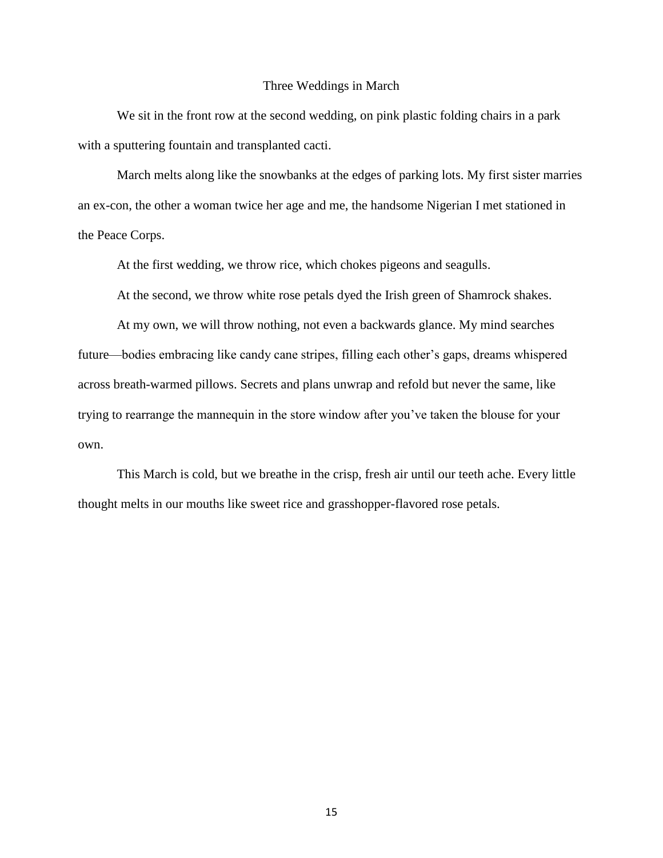#### Three Weddings in March

We sit in the front row at the second wedding, on pink plastic folding chairs in a park with a sputtering fountain and transplanted cacti.

March melts along like the snowbanks at the edges of parking lots. My first sister marries an ex-con, the other a woman twice her age and me, the handsome Nigerian I met stationed in the Peace Corps.

At the first wedding, we throw rice, which chokes pigeons and seagulls.

At the second, we throw white rose petals dyed the Irish green of Shamrock shakes.

At my own, we will throw nothing, not even a backwards glance. My mind searches future—bodies embracing like candy cane stripes, filling each other's gaps, dreams whispered across breath-warmed pillows. Secrets and plans unwrap and refold but never the same, like trying to rearrange the mannequin in the store window after you've taken the blouse for your own.

This March is cold, but we breathe in the crisp, fresh air until our teeth ache. Every little thought melts in our mouths like sweet rice and grasshopper-flavored rose petals.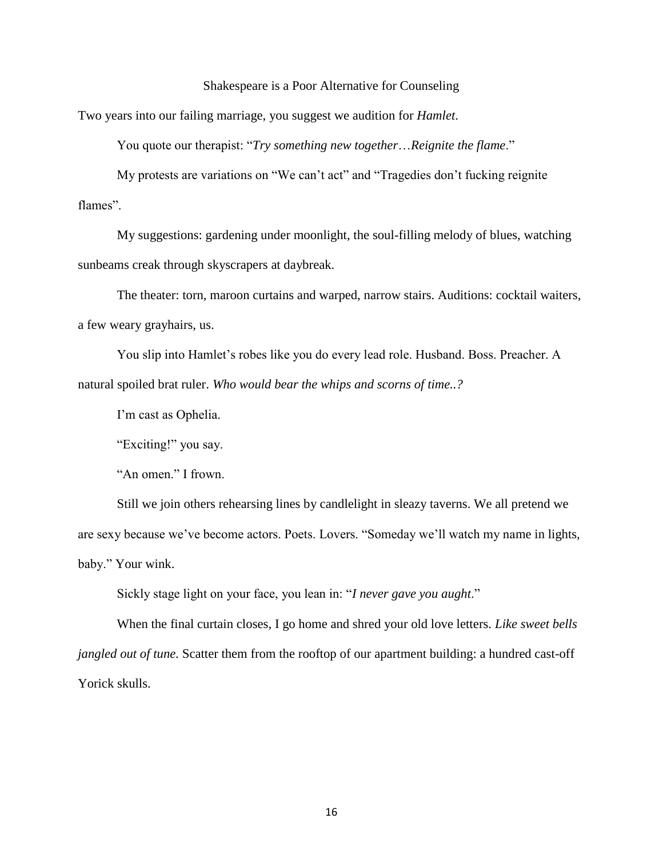#### Shakespeare is a Poor Alternative for Counseling

Two years into our failing marriage, you suggest we audition for *Hamlet*.

You quote our therapist: "*Try something new together*…*Reignite the flame*."

My protests are variations on "We can't act" and "Tragedies don't fucking reignite flames".

My suggestions: gardening under moonlight, the soul-filling melody of blues, watching sunbeams creak through skyscrapers at daybreak.

The theater: torn, maroon curtains and warped, narrow stairs. Auditions: cocktail waiters, a few weary grayhairs, us.

You slip into Hamlet's robes like you do every lead role. Husband. Boss. Preacher. A natural spoiled brat ruler. *Who would bear the whips and scorns of time..?*

I'm cast as Ophelia.

"Exciting!" you say.

"An omen." I frown.

Still we join others rehearsing lines by candlelight in sleazy taverns. We all pretend we are sexy because we've become actors. Poets. Lovers. "Someday we'll watch my name in lights, baby." Your wink.

Sickly stage light on your face, you lean in: "*I never gave you aught*."

When the final curtain closes, I go home and shred your old love letters. *Like sweet bells jangled out of tune.* Scatter them from the rooftop of our apartment building: a hundred cast-off Yorick skulls.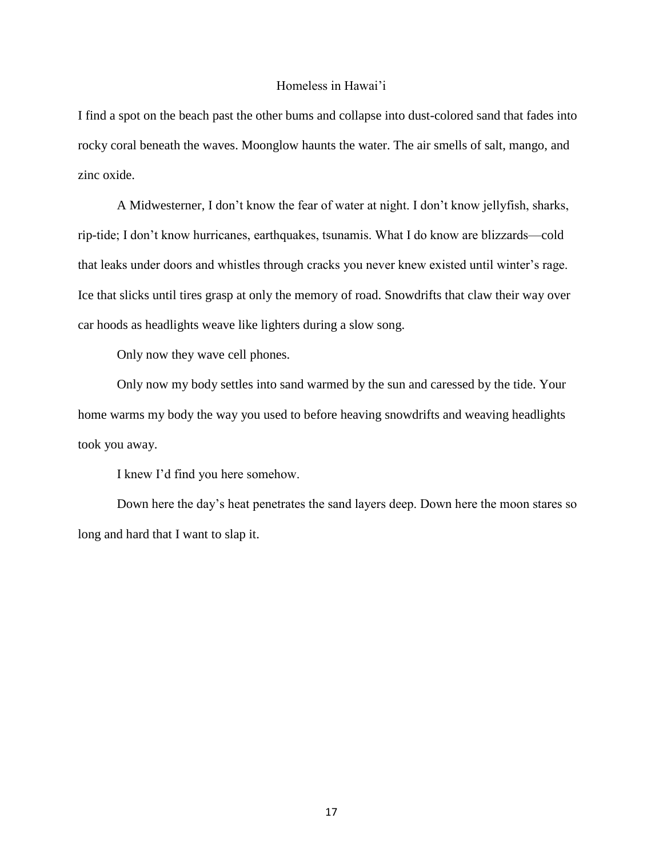#### Homeless in Hawai'i

I find a spot on the beach past the other bums and collapse into dust-colored sand that fades into rocky coral beneath the waves. Moonglow haunts the water. The air smells of salt, mango, and zinc oxide.

A Midwesterner, I don't know the fear of water at night. I don't know jellyfish, sharks, rip-tide; I don't know hurricanes, earthquakes, tsunamis. What I do know are blizzards—cold that leaks under doors and whistles through cracks you never knew existed until winter's rage. Ice that slicks until tires grasp at only the memory of road. Snowdrifts that claw their way over car hoods as headlights weave like lighters during a slow song.

Only now they wave cell phones.

Only now my body settles into sand warmed by the sun and caressed by the tide. Your home warms my body the way you used to before heaving snowdrifts and weaving headlights took you away.

I knew I'd find you here somehow.

Down here the day's heat penetrates the sand layers deep. Down here the moon stares so long and hard that I want to slap it.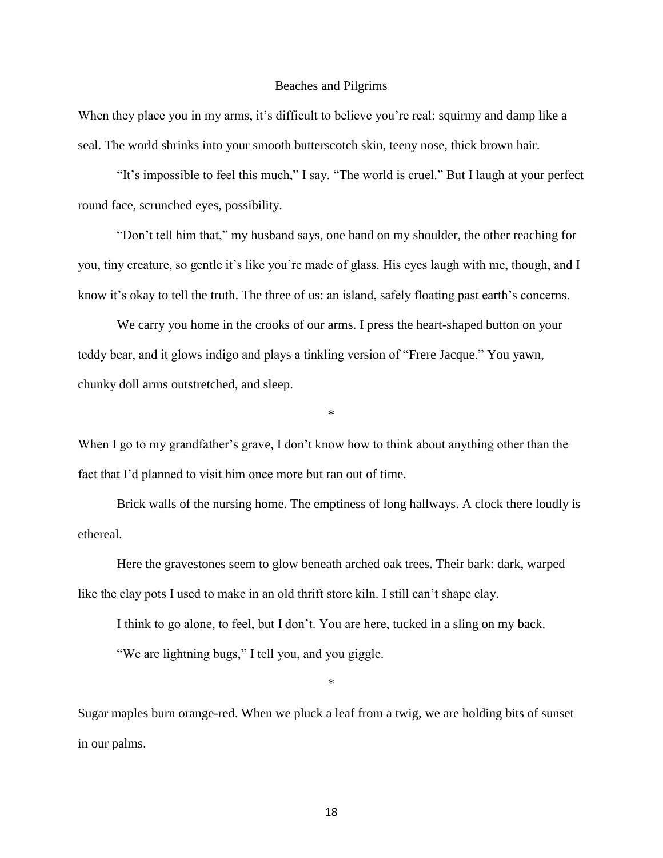#### Beaches and Pilgrims

When they place you in my arms, it's difficult to believe you're real: squirmy and damp like a seal. The world shrinks into your smooth butterscotch skin, teeny nose, thick brown hair.

"It's impossible to feel this much," I say. "The world is cruel." But I laugh at your perfect round face, scrunched eyes, possibility.

"Don't tell him that," my husband says, one hand on my shoulder, the other reaching for you, tiny creature, so gentle it's like you're made of glass. His eyes laugh with me, though, and I know it's okay to tell the truth. The three of us: an island, safely floating past earth's concerns.

We carry you home in the crooks of our arms. I press the heart-shaped button on your teddy bear, and it glows indigo and plays a tinkling version of "Frere Jacque." You yawn, chunky doll arms outstretched, and sleep.

When I go to my grandfather's grave, I don't know how to think about anything other than the fact that I'd planned to visit him once more but ran out of time.

\*

Brick walls of the nursing home. The emptiness of long hallways. A clock there loudly is ethereal.

Here the gravestones seem to glow beneath arched oak trees. Their bark: dark, warped like the clay pots I used to make in an old thrift store kiln. I still can't shape clay.

I think to go alone, to feel, but I don't. You are here, tucked in a sling on my back.

"We are lightning bugs," I tell you, and you giggle.

\*

Sugar maples burn orange-red. When we pluck a leaf from a twig, we are holding bits of sunset in our palms.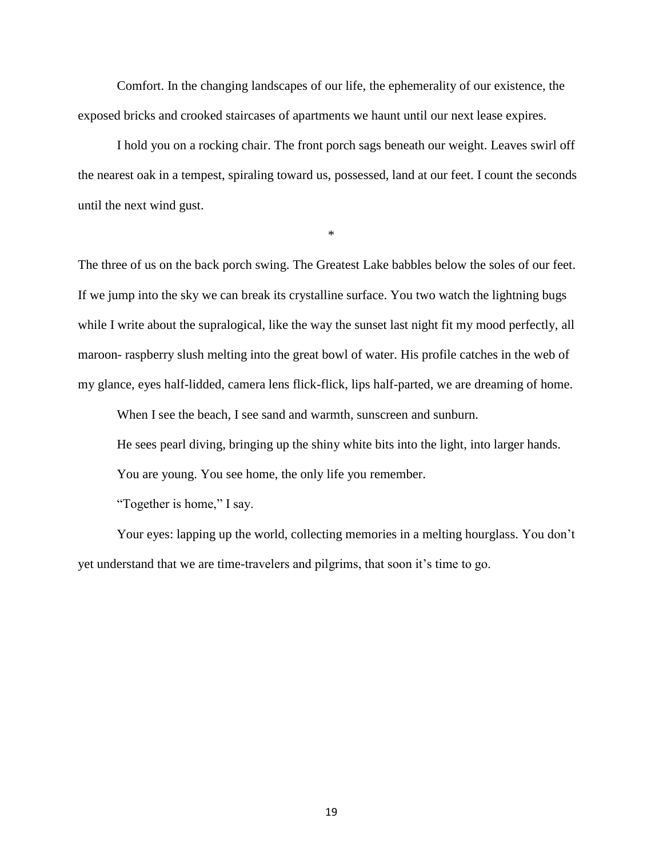Comfort. In the changing landscapes of our life, the ephemerality of our existence, the exposed bricks and crooked staircases of apartments we haunt until our next lease expires.

I hold you on a rocking chair. The front porch sags beneath our weight. Leaves swirl off the nearest oak in a tempest, spiraling toward us, possessed, land at our feet. I count the seconds until the next wind gust.

\*

The three of us on the back porch swing. The Greatest Lake babbles below the soles of our feet. If we jump into the sky we can break its crystalline surface. You two watch the lightning bugs while I write about the supralogical, like the way the sunset last night fit my mood perfectly, all maroon- raspberry slush melting into the great bowl of water. His profile catches in the web of my glance, eyes half-lidded, camera lens flick-flick, lips half-parted, we are dreaming of home.

When I see the beach, I see sand and warmth, sunscreen and sunburn.

He sees pearl diving, bringing up the shiny white bits into the light, into larger hands.

You are young. You see home, the only life you remember.

"Together is home," I say.

Your eyes: lapping up the world, collecting memories in a melting hourglass. You don't yet understand that we are time-travelers and pilgrims, that soon it's time to go.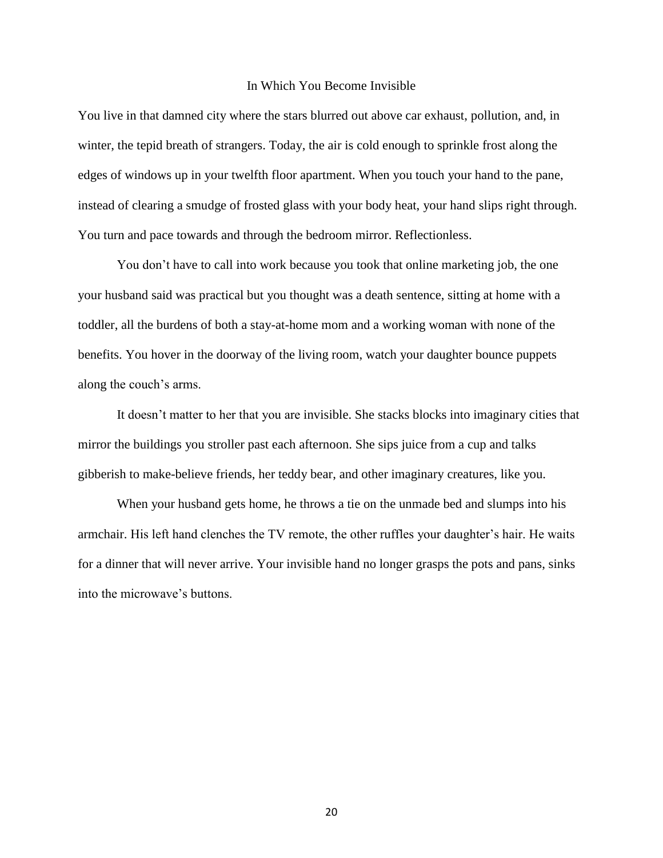#### In Which You Become Invisible

You live in that damned city where the stars blurred out above car exhaust, pollution, and, in winter, the tepid breath of strangers. Today, the air is cold enough to sprinkle frost along the edges of windows up in your twelfth floor apartment. When you touch your hand to the pane, instead of clearing a smudge of frosted glass with your body heat, your hand slips right through. You turn and pace towards and through the bedroom mirror. Reflectionless.

You don't have to call into work because you took that online marketing job, the one your husband said was practical but you thought was a death sentence, sitting at home with a toddler, all the burdens of both a stay-at-home mom and a working woman with none of the benefits. You hover in the doorway of the living room, watch your daughter bounce puppets along the couch's arms.

It doesn't matter to her that you are invisible. She stacks blocks into imaginary cities that mirror the buildings you stroller past each afternoon. She sips juice from a cup and talks gibberish to make-believe friends, her teddy bear, and other imaginary creatures, like you.

When your husband gets home, he throws a tie on the unmade bed and slumps into his armchair. His left hand clenches the TV remote, the other ruffles your daughter's hair. He waits for a dinner that will never arrive. Your invisible hand no longer grasps the pots and pans, sinks into the microwave's buttons.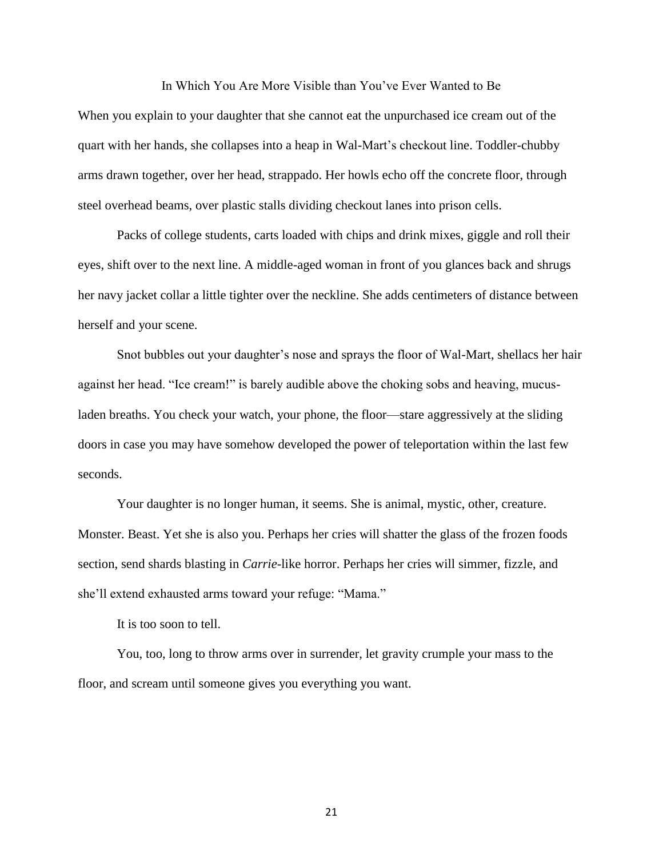In Which You Are More Visible than You've Ever Wanted to Be

When you explain to your daughter that she cannot eat the unpurchased ice cream out of the quart with her hands, she collapses into a heap in Wal-Mart's checkout line. Toddler-chubby arms drawn together, over her head, strappado. Her howls echo off the concrete floor, through steel overhead beams, over plastic stalls dividing checkout lanes into prison cells.

Packs of college students, carts loaded with chips and drink mixes, giggle and roll their eyes, shift over to the next line. A middle-aged woman in front of you glances back and shrugs her navy jacket collar a little tighter over the neckline. She adds centimeters of distance between herself and your scene.

Snot bubbles out your daughter's nose and sprays the floor of Wal-Mart, shellacs her hair against her head. "Ice cream!" is barely audible above the choking sobs and heaving, mucusladen breaths. You check your watch, your phone, the floor—stare aggressively at the sliding doors in case you may have somehow developed the power of teleportation within the last few seconds.

Your daughter is no longer human, it seems. She is animal, mystic, other, creature. Monster. Beast. Yet she is also you. Perhaps her cries will shatter the glass of the frozen foods section, send shards blasting in *Carrie*-like horror. Perhaps her cries will simmer, fizzle, and she'll extend exhausted arms toward your refuge: "Mama."

It is too soon to tell.

You, too, long to throw arms over in surrender, let gravity crumple your mass to the floor, and scream until someone gives you everything you want.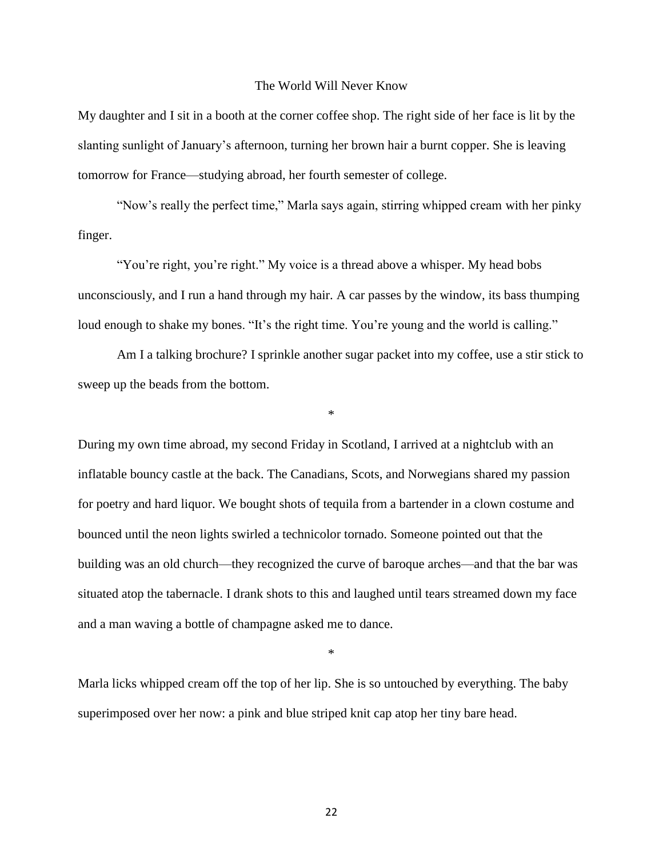#### The World Will Never Know

My daughter and I sit in a booth at the corner coffee shop. The right side of her face is lit by the slanting sunlight of January's afternoon, turning her brown hair a burnt copper. She is leaving tomorrow for France—studying abroad, her fourth semester of college.

"Now's really the perfect time," Marla says again, stirring whipped cream with her pinky finger.

"You're right, you're right." My voice is a thread above a whisper. My head bobs unconsciously, and I run a hand through my hair. A car passes by the window, its bass thumping loud enough to shake my bones. "It's the right time. You're young and the world is calling."

Am I a talking brochure? I sprinkle another sugar packet into my coffee, use a stir stick to sweep up the beads from the bottom.

\*

During my own time abroad, my second Friday in Scotland, I arrived at a nightclub with an inflatable bouncy castle at the back. The Canadians, Scots, and Norwegians shared my passion for poetry and hard liquor. We bought shots of tequila from a bartender in a clown costume and bounced until the neon lights swirled a technicolor tornado. Someone pointed out that the building was an old church—they recognized the curve of baroque arches—and that the bar was situated atop the tabernacle. I drank shots to this and laughed until tears streamed down my face and a man waving a bottle of champagne asked me to dance.

\*

Marla licks whipped cream off the top of her lip. She is so untouched by everything. The baby superimposed over her now: a pink and blue striped knit cap atop her tiny bare head.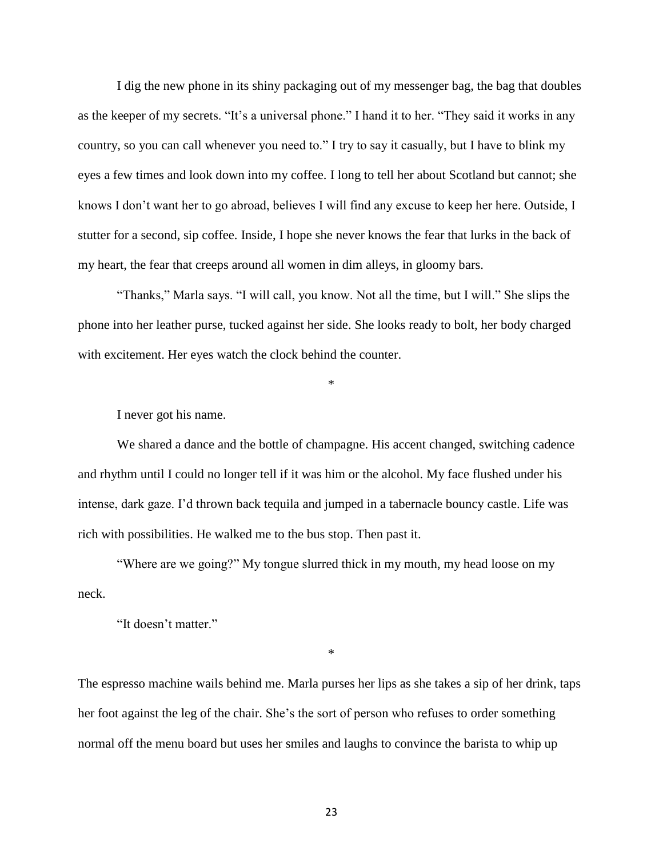I dig the new phone in its shiny packaging out of my messenger bag, the bag that doubles as the keeper of my secrets. "It's a universal phone." I hand it to her. "They said it works in any country, so you can call whenever you need to." I try to say it casually, but I have to blink my eyes a few times and look down into my coffee. I long to tell her about Scotland but cannot; she knows I don't want her to go abroad, believes I will find any excuse to keep her here. Outside, I stutter for a second, sip coffee. Inside, I hope she never knows the fear that lurks in the back of my heart, the fear that creeps around all women in dim alleys, in gloomy bars.

"Thanks," Marla says. "I will call, you know. Not all the time, but I will." She slips the phone into her leather purse, tucked against her side. She looks ready to bolt, her body charged with excitement. Her eyes watch the clock behind the counter.

\*

I never got his name.

We shared a dance and the bottle of champagne. His accent changed, switching cadence and rhythm until I could no longer tell if it was him or the alcohol. My face flushed under his intense, dark gaze. I'd thrown back tequila and jumped in a tabernacle bouncy castle. Life was rich with possibilities. He walked me to the bus stop. Then past it.

"Where are we going?" My tongue slurred thick in my mouth, my head loose on my neck.

"It doesn't matter."

\*

The espresso machine wails behind me. Marla purses her lips as she takes a sip of her drink, taps her foot against the leg of the chair. She's the sort of person who refuses to order something normal off the menu board but uses her smiles and laughs to convince the barista to whip up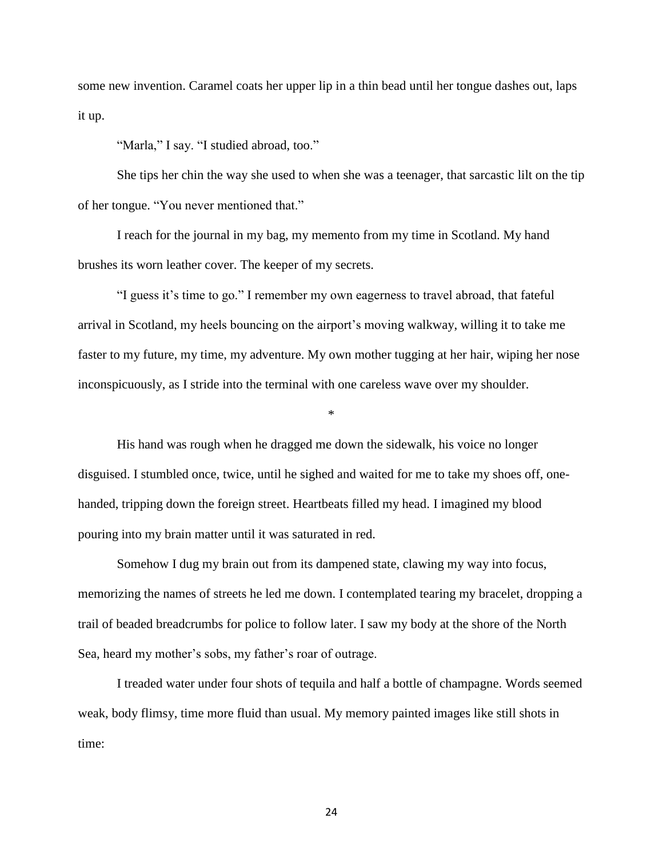some new invention. Caramel coats her upper lip in a thin bead until her tongue dashes out, laps it up.

"Marla," I say. "I studied abroad, too."

She tips her chin the way she used to when she was a teenager, that sarcastic lilt on the tip of her tongue. "You never mentioned that."

I reach for the journal in my bag, my memento from my time in Scotland. My hand brushes its worn leather cover. The keeper of my secrets.

"I guess it's time to go." I remember my own eagerness to travel abroad, that fateful arrival in Scotland, my heels bouncing on the airport's moving walkway, willing it to take me faster to my future, my time, my adventure. My own mother tugging at her hair, wiping her nose inconspicuously, as I stride into the terminal with one careless wave over my shoulder.

\*

His hand was rough when he dragged me down the sidewalk, his voice no longer disguised. I stumbled once, twice, until he sighed and waited for me to take my shoes off, onehanded, tripping down the foreign street. Heartbeats filled my head. I imagined my blood pouring into my brain matter until it was saturated in red.

Somehow I dug my brain out from its dampened state, clawing my way into focus, memorizing the names of streets he led me down. I contemplated tearing my bracelet, dropping a trail of beaded breadcrumbs for police to follow later. I saw my body at the shore of the North Sea, heard my mother's sobs, my father's roar of outrage.

I treaded water under four shots of tequila and half a bottle of champagne. Words seemed weak, body flimsy, time more fluid than usual. My memory painted images like still shots in time: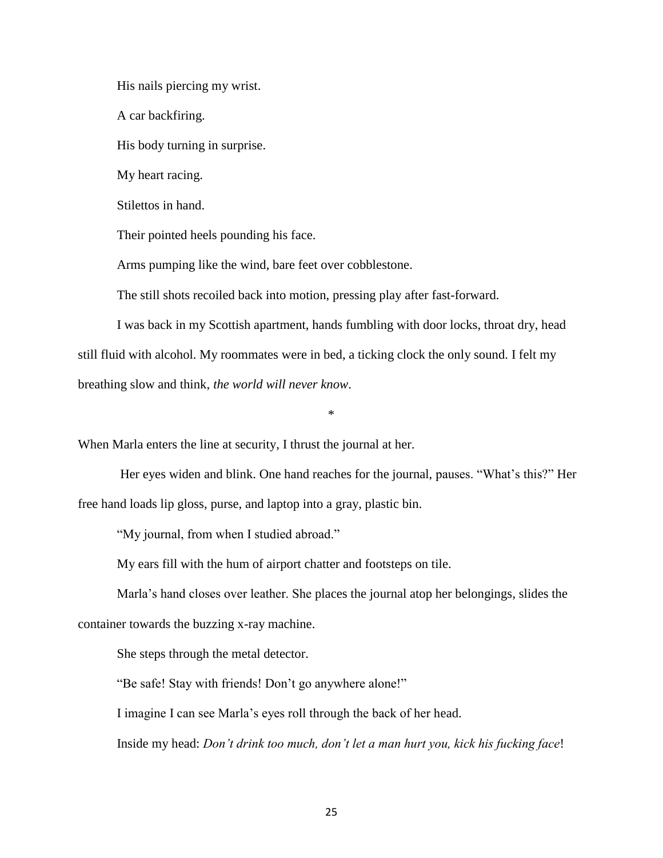His nails piercing my wrist.

A car backfiring.

His body turning in surprise.

My heart racing.

Stilettos in hand.

Their pointed heels pounding his face.

Arms pumping like the wind, bare feet over cobblestone.

The still shots recoiled back into motion, pressing play after fast-forward.

I was back in my Scottish apartment, hands fumbling with door locks, throat dry, head still fluid with alcohol. My roommates were in bed, a ticking clock the only sound. I felt my breathing slow and think, *the world will never know*.

\*

When Marla enters the line at security, I thrust the journal at her.

Her eyes widen and blink. One hand reaches for the journal, pauses. "What's this?" Her free hand loads lip gloss, purse, and laptop into a gray, plastic bin.

"My journal, from when I studied abroad."

My ears fill with the hum of airport chatter and footsteps on tile.

Marla's hand closes over leather. She places the journal atop her belongings, slides the container towards the buzzing x-ray machine.

She steps through the metal detector.

"Be safe! Stay with friends! Don't go anywhere alone!"

I imagine I can see Marla's eyes roll through the back of her head.

Inside my head: *Don't drink too much, don't let a man hurt you, kick his fucking face*!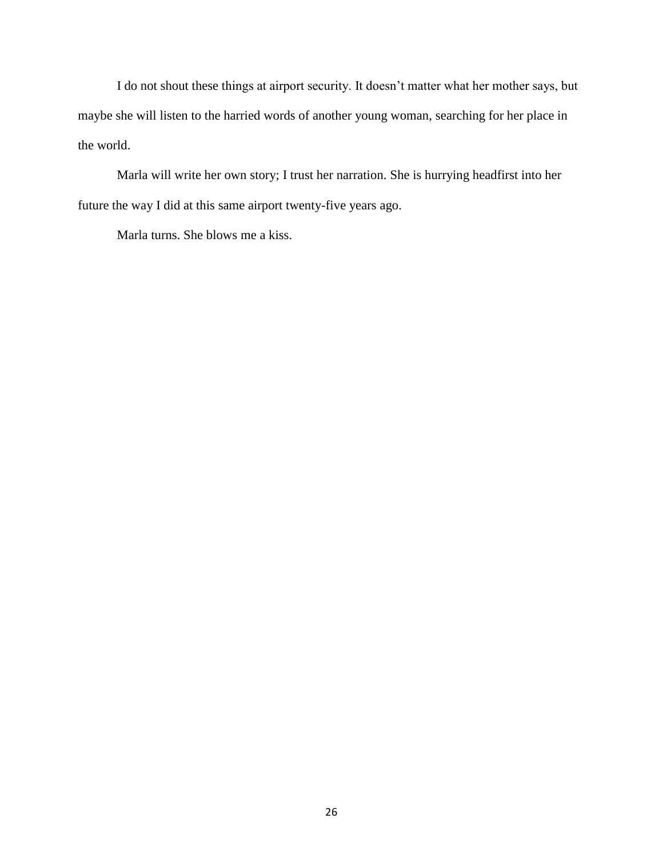I do not shout these things at airport security. It doesn't matter what her mother says, but maybe she will listen to the harried words of another young woman, searching for her place in the world.

Marla will write her own story; I trust her narration. She is hurrying headfirst into her future the way I did at this same airport twenty-five years ago.

Marla turns. She blows me a kiss.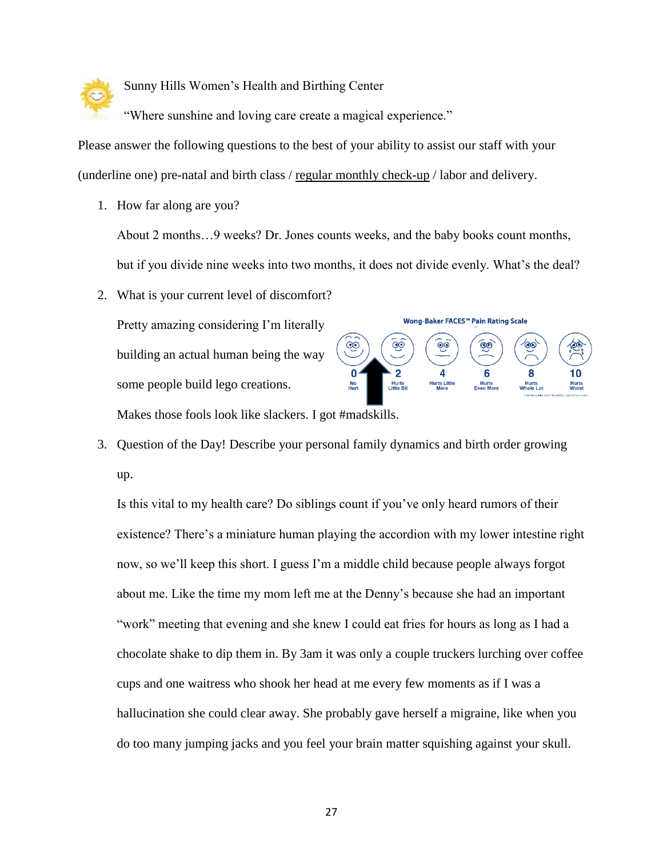

Sunny Hills Women's Health and Birthing Center

"Where sunshine and loving care create a magical experience."

Please answer the following questions to the best of your ability to assist our staff with your (underline one) pre-natal and birth class / regular monthly check-up / labor and delivery.

1. How far along are you?

About 2 months…9 weeks? Dr. Jones counts weeks, and the baby books count months, but if you divide nine weeks into two months, it does not divide evenly. What's the deal?

2. What is your current level of discomfort?

Pretty amazing considering I'm literally building an actual human being the way some people build lego creations.



Makes those fools look like slackers. I got #madskills.

3. Question of the Day! Describe your personal family dynamics and birth order growing up.

Is this vital to my health care? Do siblings count if you've only heard rumors of their existence? There's a miniature human playing the accordion with my lower intestine right now, so we'll keep this short. I guess I'm a middle child because people always forgot about me. Like the time my mom left me at the Denny's because she had an important "work" meeting that evening and she knew I could eat fries for hours as long as I had a chocolate shake to dip them in. By 3am it was only a couple truckers lurching over coffee cups and one waitress who shook her head at me every few moments as if I was a hallucination she could clear away. She probably gave herself a migraine, like when you do too many jumping jacks and you feel your brain matter squishing against your skull.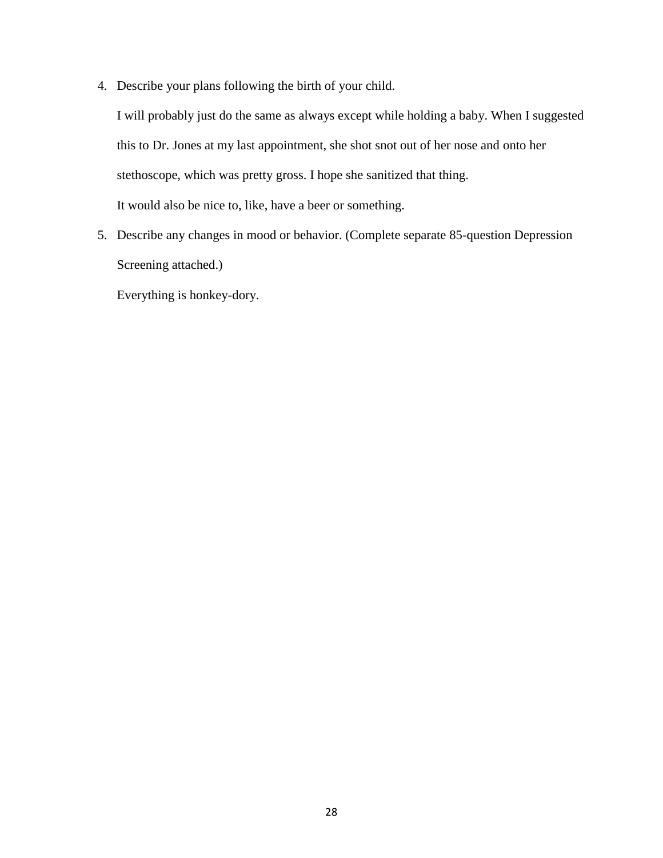4. Describe your plans following the birth of your child.

I will probably just do the same as always except while holding a baby. When I suggested this to Dr. Jones at my last appointment, she shot snot out of her nose and onto her stethoscope, which was pretty gross. I hope she sanitized that thing. It would also be nice to, like, have a beer or something.

5. Describe any changes in mood or behavior. (Complete separate 85-question Depression Screening attached.)

Everything is honkey-dory.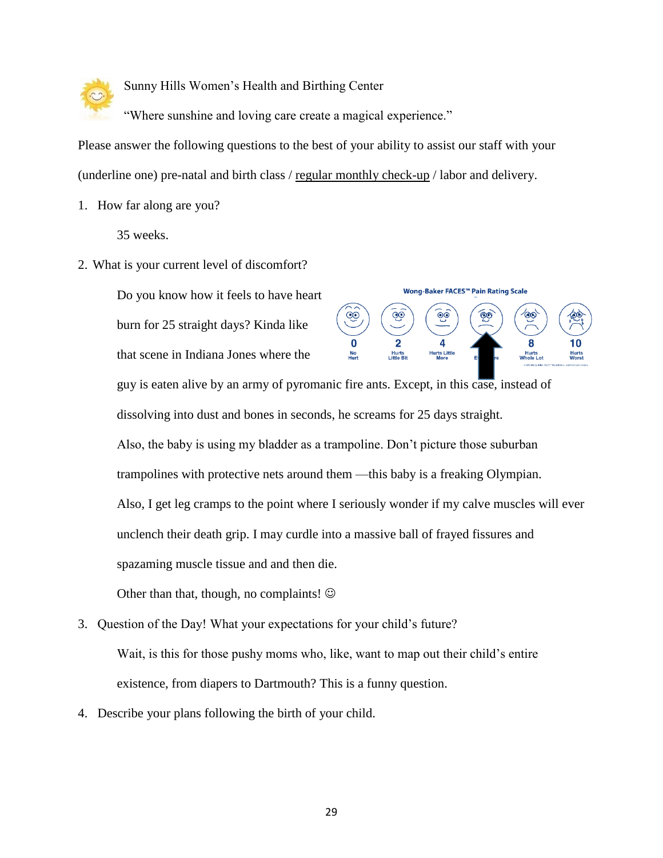

Sunny Hills Women's Health and Birthing Center

"Where sunshine and loving care create a magical experience."

Please answer the following questions to the best of your ability to assist our staff with your (underline one) pre-natal and birth class / regular monthly check-up / labor and delivery.

1. How far along are you?

35 weeks.

2. What is your current level of discomfort?

Do you know how it feels to have heart burn for 25 straight days? Kinda like

that scene in Indiana Jones where the



guy is eaten alive by an army of pyromanic fire ants. Except, in this case, instead of dissolving into dust and bones in seconds, he screams for 25 days straight.

Also, the baby is using my bladder as a trampoline. Don't picture those suburban trampolines with protective nets around them —this baby is a freaking Olympian. Also, I get leg cramps to the point where I seriously wonder if my calve muscles will ever unclench their death grip. I may curdle into a massive ball of frayed fissures and spazaming muscle tissue and and then die.

Other than that, though, no complaints!  $\odot$ 

- 3. Question of the Day! What your expectations for your child's future? Wait, is this for those pushy moms who, like, want to map out their child's entire existence, from diapers to Dartmouth? This is a funny question.
- 4. Describe your plans following the birth of your child.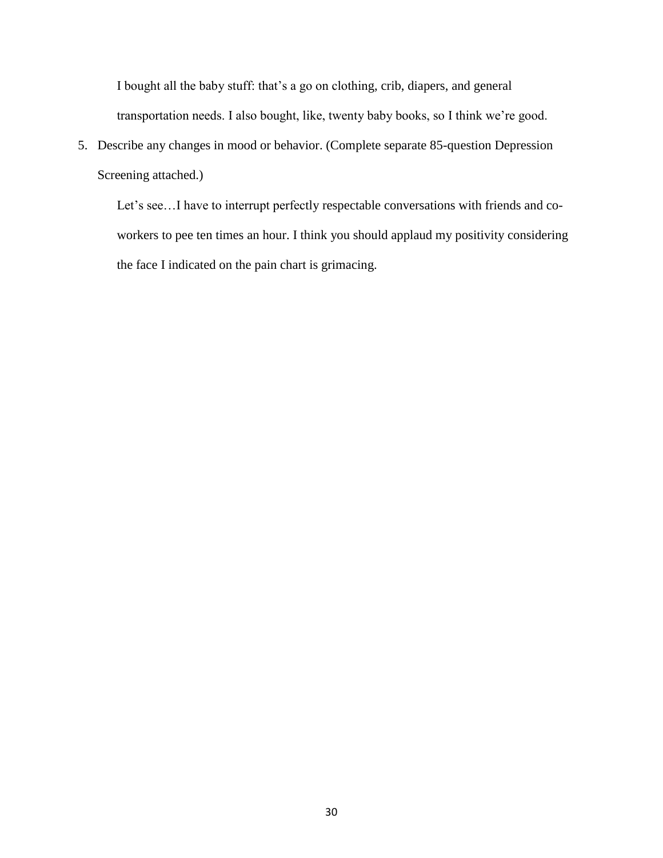I bought all the baby stuff: that's a go on clothing, crib, diapers, and general transportation needs. I also bought, like, twenty baby books, so I think we're good.

5. Describe any changes in mood or behavior. (Complete separate 85-question Depression Screening attached.)

Let's see…I have to interrupt perfectly respectable conversations with friends and coworkers to pee ten times an hour. I think you should applaud my positivity considering the face I indicated on the pain chart is grimacing.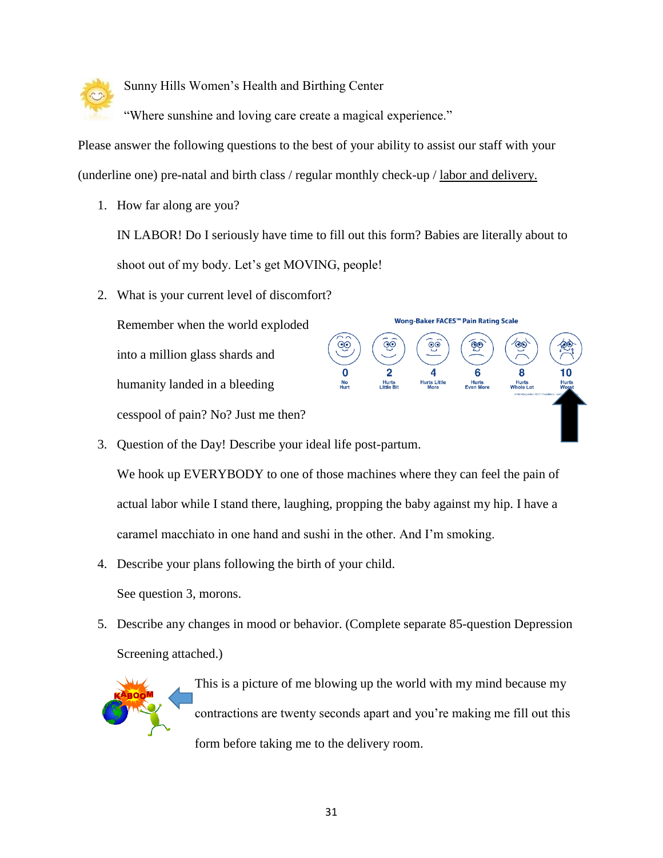

Sunny Hills Women's Health and Birthing Center

"Where sunshine and loving care create a magical experience."

Please answer the following questions to the best of your ability to assist our staff with your (underline one) pre-natal and birth class / regular monthly check-up / labor and delivery.

1. How far along are you?

IN LABOR! Do I seriously have time to fill out this form? Babies are literally about to shoot out of my body. Let's get MOVING, people!

 $\circledcirc$ 

<u>ଡ଼</u>

Wong-Baker FACES™ Pain Rating Scale

මෙ

8

Hurts<br>Whole Lot

 $\odot$ 

Hurts Little

2. What is your current level of discomfort?

Remember when the world exploded into a million glass shards and humanity landed in a bleeding cesspool of pain? No? Just me then?

3. Question of the Day! Describe your ideal life post-partum.

We hook up EVERYBODY to one of those machines where they can feel the pain of actual labor while I stand there, laughing, propping the baby against my hip. I have a caramel macchiato in one hand and sushi in the other. And I'm smoking.

4. Describe your plans following the birth of your child.

See question 3, morons.

5. Describe any changes in mood or behavior. (Complete separate 85-question Depression Screening attached.)



This is a picture of me blowing up the world with my mind because my contractions are twenty seconds apart and you're making me fill out this form before taking me to the delivery room.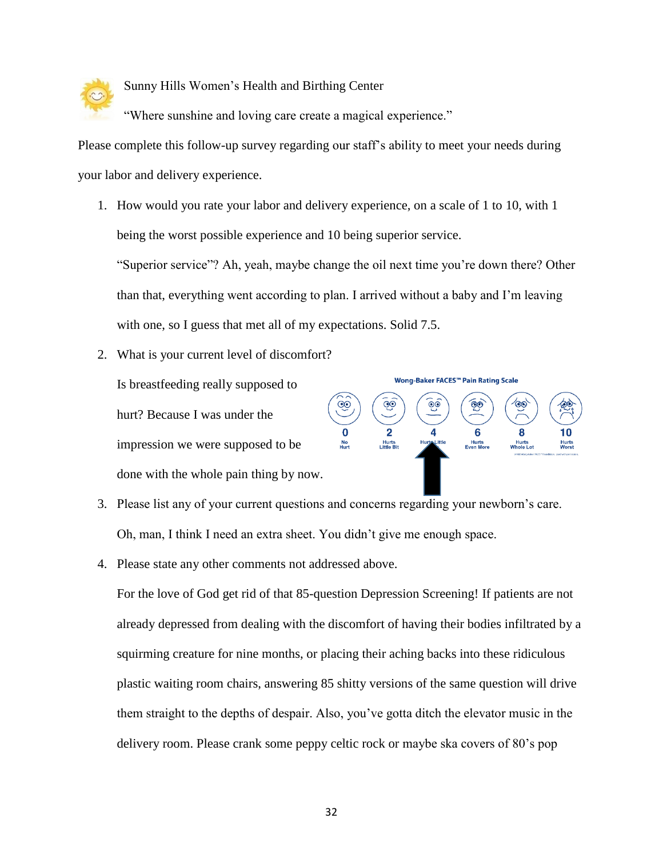

Sunny Hills Women's Health and Birthing Center

"Where sunshine and loving care create a magical experience."

Please complete this follow-up survey regarding our staff's ability to meet your needs during your labor and delivery experience.

1. How would you rate your labor and delivery experience, on a scale of 1 to 10, with 1 being the worst possible experience and 10 being superior service.

"Superior service"? Ah, yeah, maybe change the oil next time you're down there? Other than that, everything went according to plan. I arrived without a baby and I'm leaving with one, so I guess that met all of my expectations. Solid 7.5.

2. What is your current level of discomfort?

Is breastfeeding really supposed to hurt? Because I was under the impression we were supposed to be done with the whole pain thing by now.



- 3. Please list any of your current questions and concerns regarding your newborn's care. Oh, man, I think I need an extra sheet. You didn't give me enough space.
- 4. Please state any other comments not addressed above.

For the love of God get rid of that 85-question Depression Screening! If patients are not already depressed from dealing with the discomfort of having their bodies infiltrated by a squirming creature for nine months, or placing their aching backs into these ridiculous plastic waiting room chairs, answering 85 shitty versions of the same question will drive them straight to the depths of despair. Also, you've gotta ditch the elevator music in the delivery room. Please crank some peppy celtic rock or maybe ska covers of 80's pop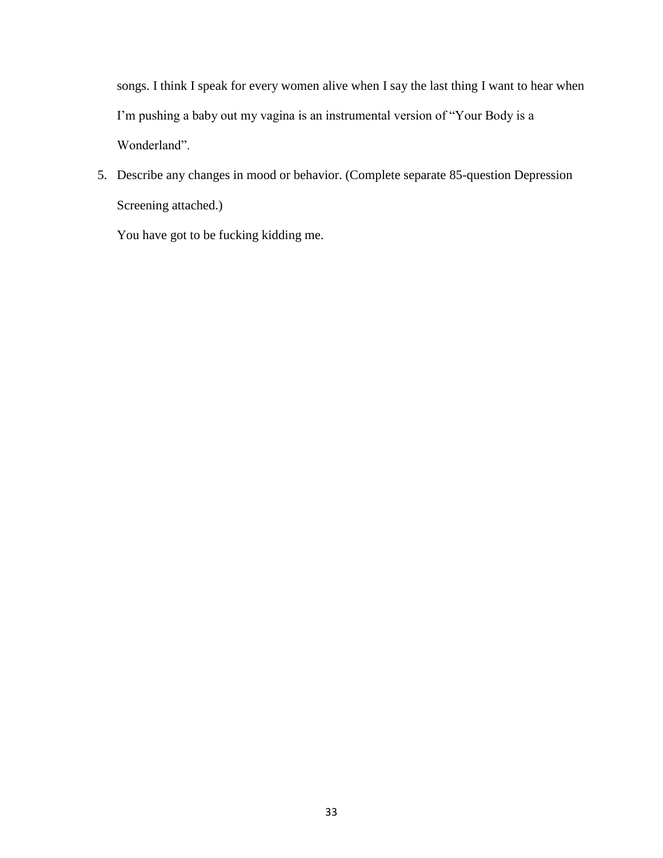songs. I think I speak for every women alive when I say the last thing I want to hear when I'm pushing a baby out my vagina is an instrumental version of "Your Body is a Wonderland".

5. Describe any changes in mood or behavior. (Complete separate 85-question Depression Screening attached.)

You have got to be fucking kidding me.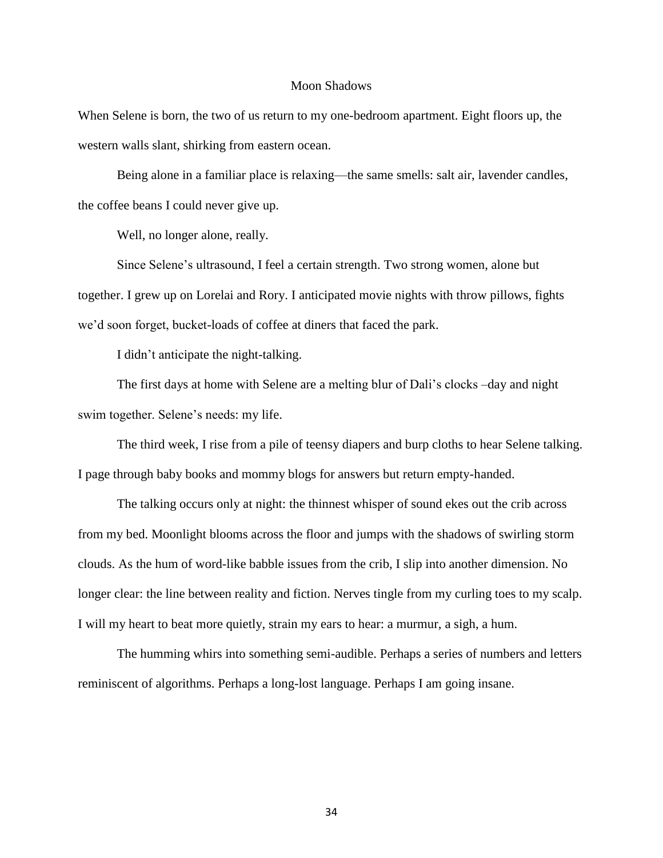#### Moon Shadows

When Selene is born, the two of us return to my one-bedroom apartment. Eight floors up, the western walls slant, shirking from eastern ocean.

Being alone in a familiar place is relaxing—the same smells: salt air, lavender candles, the coffee beans I could never give up.

Well, no longer alone, really.

Since Selene's ultrasound, I feel a certain strength. Two strong women, alone but together. I grew up on Lorelai and Rory. I anticipated movie nights with throw pillows, fights we'd soon forget, bucket-loads of coffee at diners that faced the park.

I didn't anticipate the night-talking.

The first days at home with Selene are a melting blur of Dali's clocks –day and night swim together. Selene's needs: my life.

The third week, I rise from a pile of teensy diapers and burp cloths to hear Selene talking. I page through baby books and mommy blogs for answers but return empty-handed.

The talking occurs only at night: the thinnest whisper of sound ekes out the crib across from my bed. Moonlight blooms across the floor and jumps with the shadows of swirling storm clouds. As the hum of word-like babble issues from the crib, I slip into another dimension. No longer clear: the line between reality and fiction. Nerves tingle from my curling toes to my scalp. I will my heart to beat more quietly, strain my ears to hear: a murmur, a sigh, a hum.

The humming whirs into something semi-audible. Perhaps a series of numbers and letters reminiscent of algorithms. Perhaps a long-lost language. Perhaps I am going insane.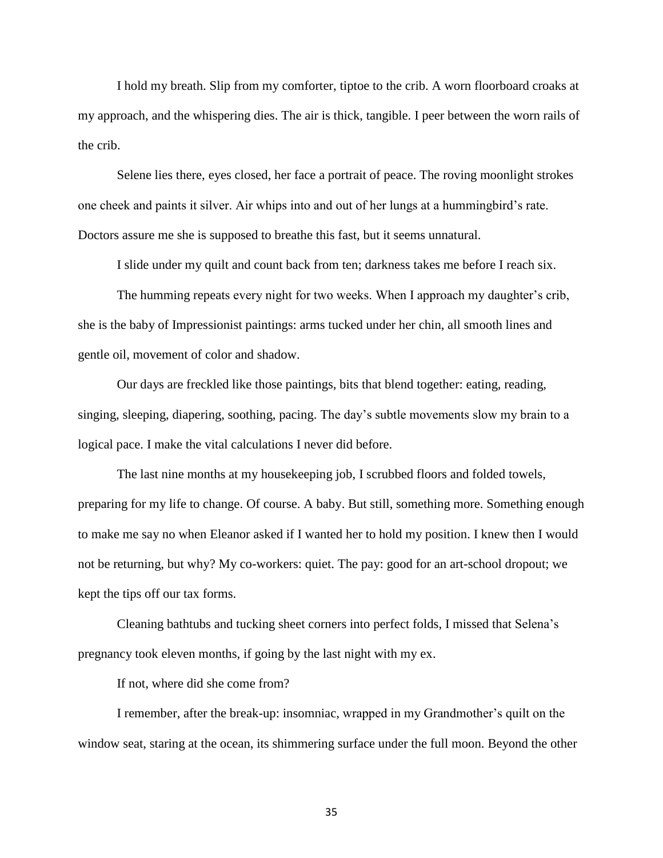I hold my breath. Slip from my comforter, tiptoe to the crib. A worn floorboard croaks at my approach, and the whispering dies. The air is thick, tangible. I peer between the worn rails of the crib.

Selene lies there, eyes closed, her face a portrait of peace. The roving moonlight strokes one cheek and paints it silver. Air whips into and out of her lungs at a hummingbird's rate. Doctors assure me she is supposed to breathe this fast, but it seems unnatural.

I slide under my quilt and count back from ten; darkness takes me before I reach six.

The humming repeats every night for two weeks. When I approach my daughter's crib, she is the baby of Impressionist paintings: arms tucked under her chin, all smooth lines and gentle oil, movement of color and shadow.

Our days are freckled like those paintings, bits that blend together: eating, reading, singing, sleeping, diapering, soothing, pacing. The day's subtle movements slow my brain to a logical pace. I make the vital calculations I never did before.

The last nine months at my housekeeping job, I scrubbed floors and folded towels, preparing for my life to change. Of course. A baby. But still, something more. Something enough to make me say no when Eleanor asked if I wanted her to hold my position. I knew then I would not be returning, but why? My co-workers: quiet. The pay: good for an art-school dropout; we kept the tips off our tax forms.

Cleaning bathtubs and tucking sheet corners into perfect folds, I missed that Selena's pregnancy took eleven months, if going by the last night with my ex.

If not, where did she come from?

I remember, after the break-up: insomniac, wrapped in my Grandmother's quilt on the window seat, staring at the ocean, its shimmering surface under the full moon. Beyond the other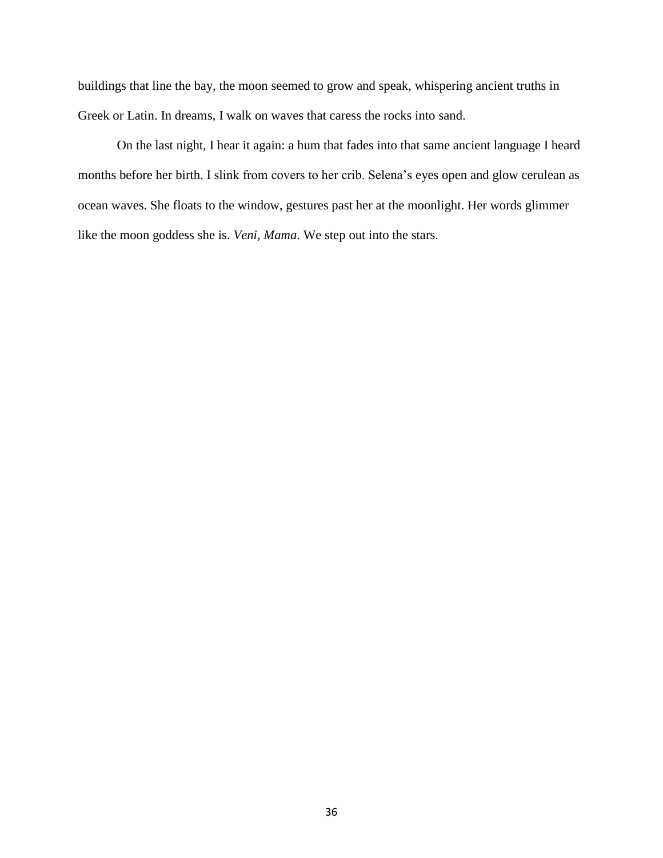buildings that line the bay, the moon seemed to grow and speak, whispering ancient truths in Greek or Latin. In dreams, I walk on waves that caress the rocks into sand.

On the last night, I hear it again: a hum that fades into that same ancient language I heard months before her birth. I slink from covers to her crib. Selena's eyes open and glow cerulean as ocean waves. She floats to the window, gestures past her at the moonlight. Her words glimmer like the moon goddess she is. *Veni, Mama*. We step out into the stars.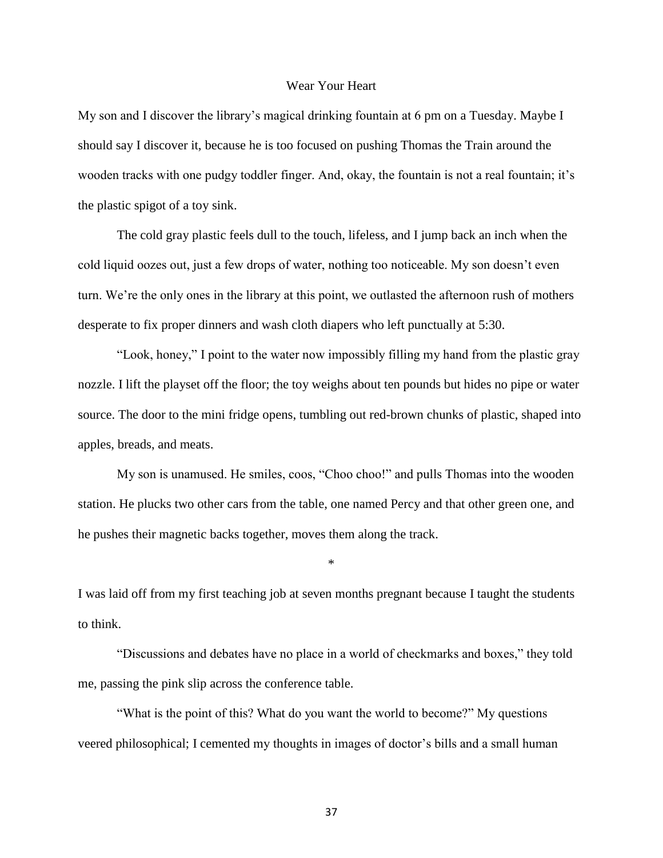#### Wear Your Heart

My son and I discover the library's magical drinking fountain at 6 pm on a Tuesday. Maybe I should say I discover it, because he is too focused on pushing Thomas the Train around the wooden tracks with one pudgy toddler finger. And, okay, the fountain is not a real fountain; it's the plastic spigot of a toy sink.

The cold gray plastic feels dull to the touch, lifeless, and I jump back an inch when the cold liquid oozes out, just a few drops of water, nothing too noticeable. My son doesn't even turn. We're the only ones in the library at this point, we outlasted the afternoon rush of mothers desperate to fix proper dinners and wash cloth diapers who left punctually at 5:30.

"Look, honey," I point to the water now impossibly filling my hand from the plastic gray nozzle. I lift the playset off the floor; the toy weighs about ten pounds but hides no pipe or water source. The door to the mini fridge opens, tumbling out red-brown chunks of plastic, shaped into apples, breads, and meats.

My son is unamused. He smiles, coos, "Choo choo!" and pulls Thomas into the wooden station. He plucks two other cars from the table, one named Percy and that other green one, and he pushes their magnetic backs together, moves them along the track.

I was laid off from my first teaching job at seven months pregnant because I taught the students to think.

\*

"Discussions and debates have no place in a world of checkmarks and boxes," they told me, passing the pink slip across the conference table.

"What is the point of this? What do you want the world to become?" My questions veered philosophical; I cemented my thoughts in images of doctor's bills and a small human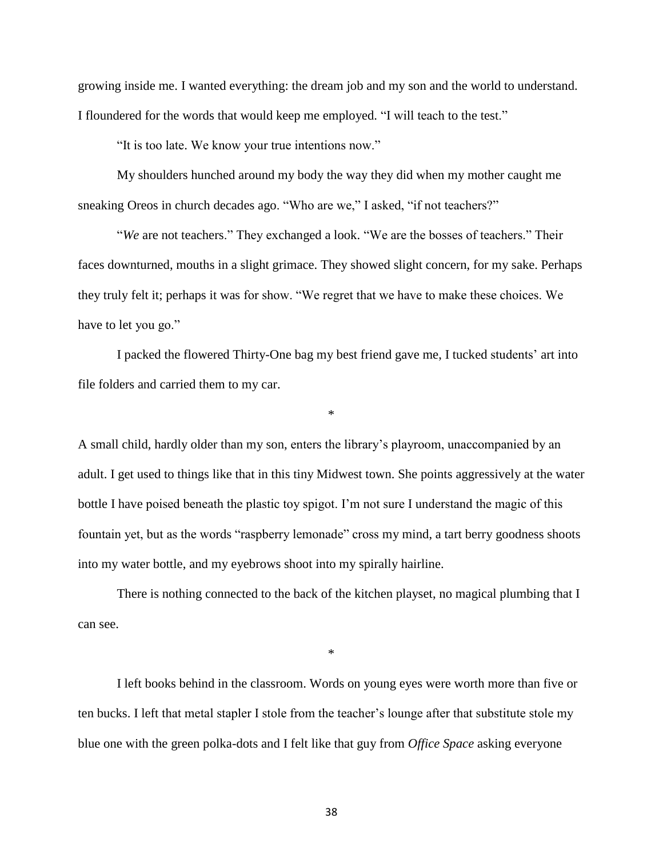growing inside me. I wanted everything: the dream job and my son and the world to understand. I floundered for the words that would keep me employed. "I will teach to the test."

"It is too late. We know your true intentions now."

My shoulders hunched around my body the way they did when my mother caught me sneaking Oreos in church decades ago. "Who are we," I asked, "if not teachers?"

"*We* are not teachers." They exchanged a look. "We are the bosses of teachers." Their faces downturned, mouths in a slight grimace. They showed slight concern, for my sake. Perhaps they truly felt it; perhaps it was for show. "We regret that we have to make these choices. We have to let you go."

I packed the flowered Thirty-One bag my best friend gave me, I tucked students' art into file folders and carried them to my car.

\*

A small child, hardly older than my son, enters the library's playroom, unaccompanied by an adult. I get used to things like that in this tiny Midwest town. She points aggressively at the water bottle I have poised beneath the plastic toy spigot. I'm not sure I understand the magic of this fountain yet, but as the words "raspberry lemonade" cross my mind, a tart berry goodness shoots into my water bottle, and my eyebrows shoot into my spirally hairline.

There is nothing connected to the back of the kitchen playset, no magical plumbing that I can see.

\*

I left books behind in the classroom. Words on young eyes were worth more than five or ten bucks. I left that metal stapler I stole from the teacher's lounge after that substitute stole my blue one with the green polka-dots and I felt like that guy from *Office Space* asking everyone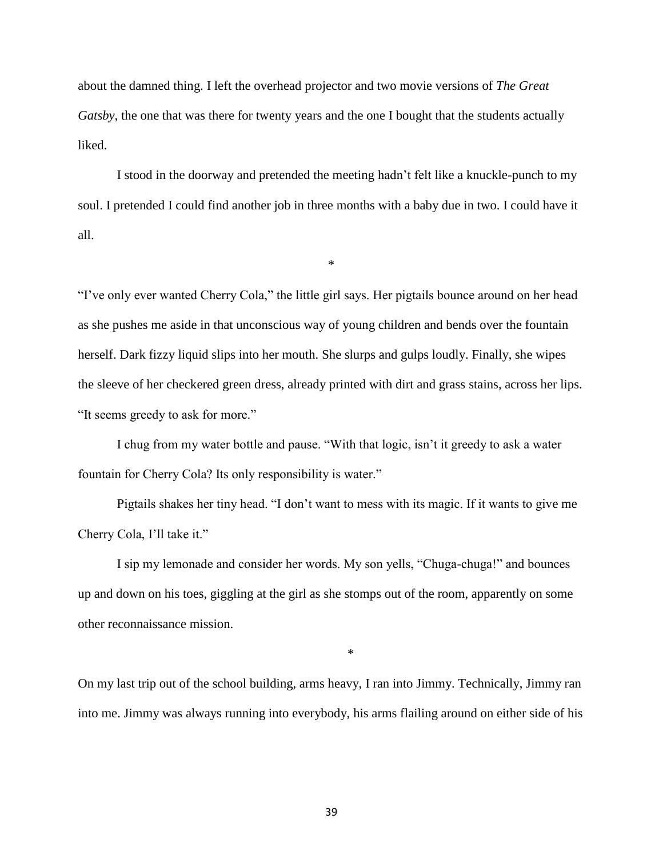about the damned thing. I left the overhead projector and two movie versions of *The Great Gatsby*, the one that was there for twenty years and the one I bought that the students actually liked.

I stood in the doorway and pretended the meeting hadn't felt like a knuckle-punch to my soul. I pretended I could find another job in three months with a baby due in two. I could have it all.

\*

"I've only ever wanted Cherry Cola," the little girl says. Her pigtails bounce around on her head as she pushes me aside in that unconscious way of young children and bends over the fountain herself. Dark fizzy liquid slips into her mouth. She slurps and gulps loudly. Finally, she wipes the sleeve of her checkered green dress, already printed with dirt and grass stains, across her lips. "It seems greedy to ask for more."

I chug from my water bottle and pause. "With that logic, isn't it greedy to ask a water fountain for Cherry Cola? Its only responsibility is water."

Pigtails shakes her tiny head. "I don't want to mess with its magic. If it wants to give me Cherry Cola, I'll take it."

I sip my lemonade and consider her words. My son yells, "Chuga-chuga!" and bounces up and down on his toes, giggling at the girl as she stomps out of the room, apparently on some other reconnaissance mission.

\*

On my last trip out of the school building, arms heavy, I ran into Jimmy. Technically, Jimmy ran into me. Jimmy was always running into everybody, his arms flailing around on either side of his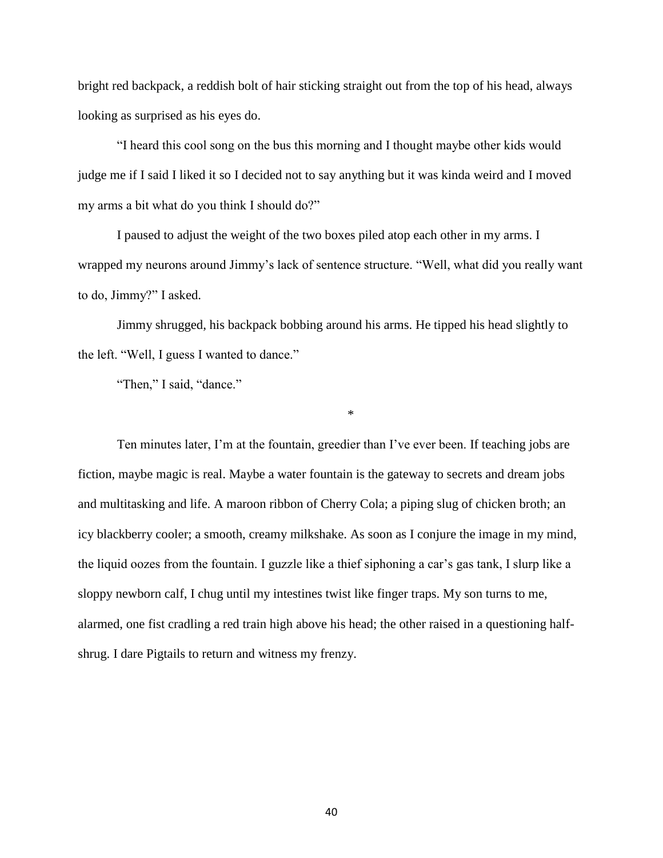bright red backpack, a reddish bolt of hair sticking straight out from the top of his head, always looking as surprised as his eyes do.

"I heard this cool song on the bus this morning and I thought maybe other kids would judge me if I said I liked it so I decided not to say anything but it was kinda weird and I moved my arms a bit what do you think I should do?"

I paused to adjust the weight of the two boxes piled atop each other in my arms. I wrapped my neurons around Jimmy's lack of sentence structure. "Well, what did you really want to do, Jimmy?" I asked.

Jimmy shrugged, his backpack bobbing around his arms. He tipped his head slightly to the left. "Well, I guess I wanted to dance."

\*

"Then," I said, "dance."

Ten minutes later, I'm at the fountain, greedier than I've ever been. If teaching jobs are fiction, maybe magic is real. Maybe a water fountain is the gateway to secrets and dream jobs and multitasking and life. A maroon ribbon of Cherry Cola; a piping slug of chicken broth; an icy blackberry cooler; a smooth, creamy milkshake. As soon as I conjure the image in my mind, the liquid oozes from the fountain. I guzzle like a thief siphoning a car's gas tank, I slurp like a sloppy newborn calf, I chug until my intestines twist like finger traps. My son turns to me, alarmed, one fist cradling a red train high above his head; the other raised in a questioning halfshrug. I dare Pigtails to return and witness my frenzy.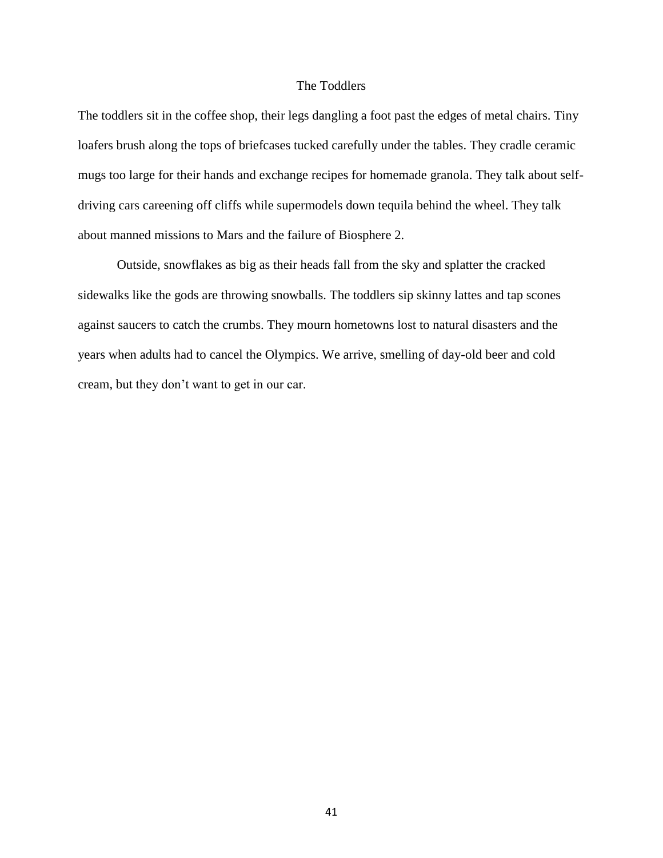#### The Toddlers

The toddlers sit in the coffee shop, their legs dangling a foot past the edges of metal chairs. Tiny loafers brush along the tops of briefcases tucked carefully under the tables. They cradle ceramic mugs too large for their hands and exchange recipes for homemade granola. They talk about selfdriving cars careening off cliffs while supermodels down tequila behind the wheel. They talk about manned missions to Mars and the failure of Biosphere 2.

Outside, snowflakes as big as their heads fall from the sky and splatter the cracked sidewalks like the gods are throwing snowballs. The toddlers sip skinny lattes and tap scones against saucers to catch the crumbs. They mourn hometowns lost to natural disasters and the years when adults had to cancel the Olympics. We arrive, smelling of day-old beer and cold cream, but they don't want to get in our car.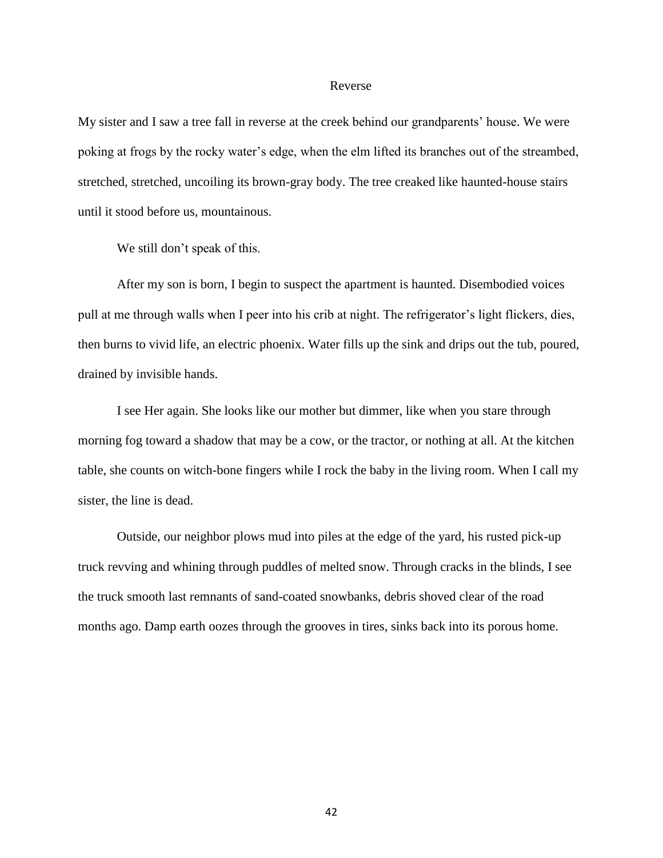#### Reverse

My sister and I saw a tree fall in reverse at the creek behind our grandparents' house. We were poking at frogs by the rocky water's edge, when the elm lifted its branches out of the streambed, stretched, stretched, uncoiling its brown-gray body. The tree creaked like haunted-house stairs until it stood before us, mountainous.

We still don't speak of this.

After my son is born, I begin to suspect the apartment is haunted. Disembodied voices pull at me through walls when I peer into his crib at night. The refrigerator's light flickers, dies, then burns to vivid life, an electric phoenix. Water fills up the sink and drips out the tub, poured, drained by invisible hands.

I see Her again. She looks like our mother but dimmer, like when you stare through morning fog toward a shadow that may be a cow, or the tractor, or nothing at all. At the kitchen table, she counts on witch-bone fingers while I rock the baby in the living room. When I call my sister, the line is dead.

Outside, our neighbor plows mud into piles at the edge of the yard, his rusted pick-up truck revving and whining through puddles of melted snow. Through cracks in the blinds, I see the truck smooth last remnants of sand-coated snowbanks, debris shoved clear of the road months ago. Damp earth oozes through the grooves in tires, sinks back into its porous home.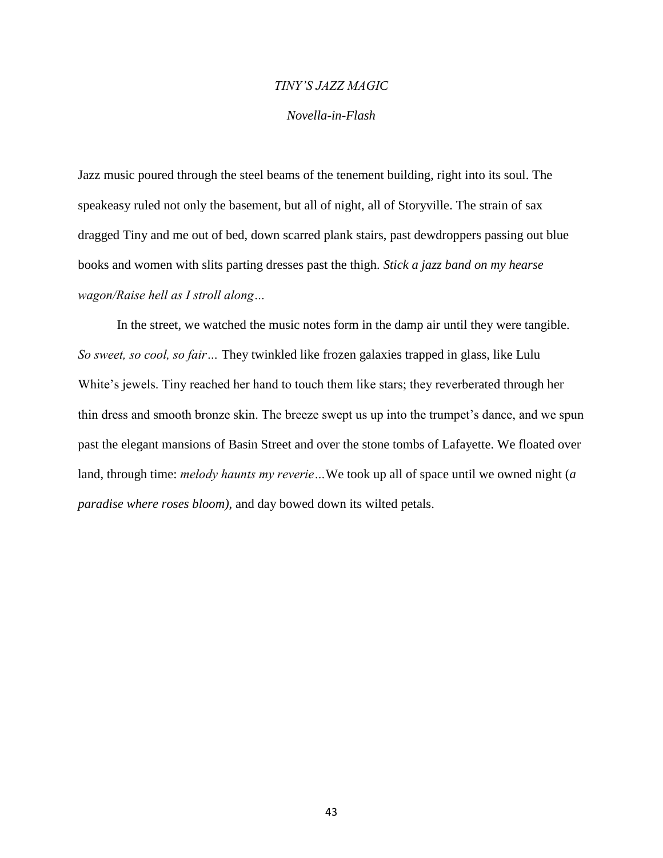# *TINY'S JAZZ MAGIC*

## *Novella-in-Flash*

Jazz music poured through the steel beams of the tenement building, right into its soul. The speakeasy ruled not only the basement, but all of night, all of Storyville. The strain of sax dragged Tiny and me out of bed, down scarred plank stairs, past dewdroppers passing out blue books and women with slits parting dresses past the thigh. *Stick a jazz band on my hearse wagon/Raise hell as I stroll along…*

In the street, we watched the music notes form in the damp air until they were tangible. *So sweet, so cool, so fair…* They twinkled like frozen galaxies trapped in glass, like Lulu White's jewels. Tiny reached her hand to touch them like stars; they reverberated through her thin dress and smooth bronze skin. The breeze swept us up into the trumpet's dance, and we spun past the elegant mansions of Basin Street and over the stone tombs of Lafayette. We floated over land, through time: *melody haunts my reverie…*We took up all of space until we owned night (*a paradise where roses bloom),* and day bowed down its wilted petals.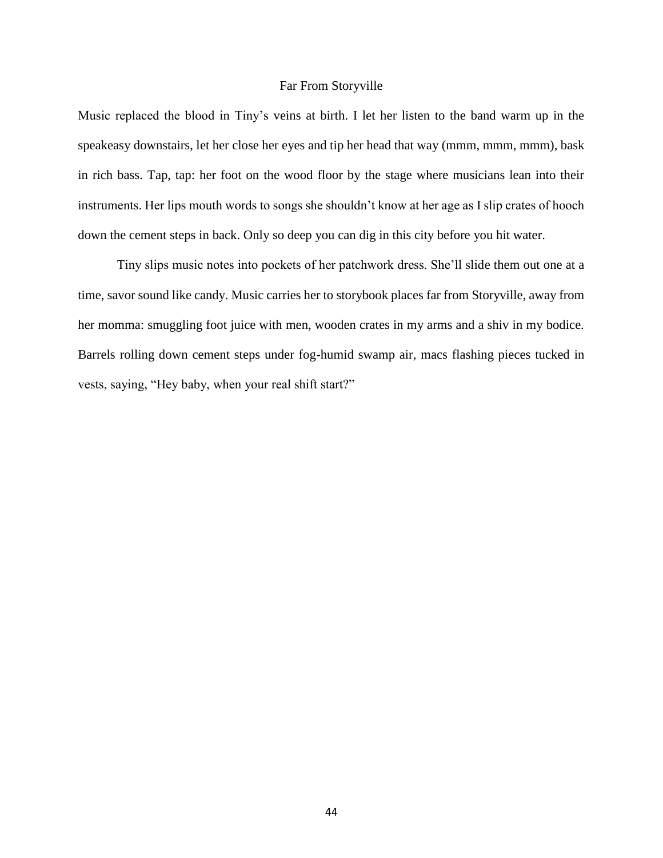#### Far From Storyville

Music replaced the blood in Tiny's veins at birth. I let her listen to the band warm up in the speakeasy downstairs, let her close her eyes and tip her head that way (mmm, mmm, mmm), bask in rich bass. Tap, tap: her foot on the wood floor by the stage where musicians lean into their instruments. Her lips mouth words to songs she shouldn't know at her age as I slip crates of hooch down the cement steps in back. Only so deep you can dig in this city before you hit water.

Tiny slips music notes into pockets of her patchwork dress. She'll slide them out one at a time, savor sound like candy. Music carries her to storybook places far from Storyville, away from her momma: smuggling foot juice with men, wooden crates in my arms and a shiv in my bodice. Barrels rolling down cement steps under fog-humid swamp air, macs flashing pieces tucked in vests, saying, "Hey baby, when your real shift start?"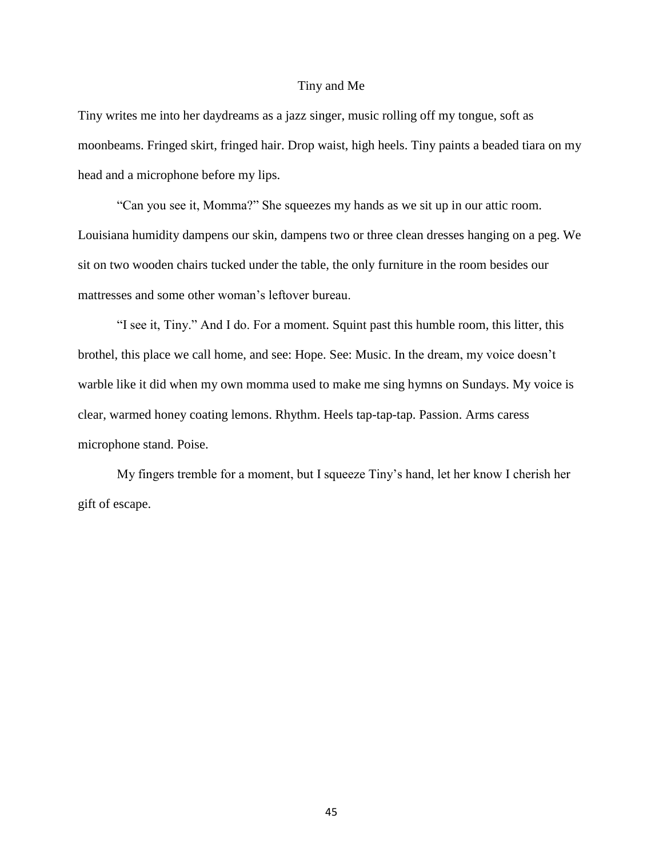#### Tiny and Me

Tiny writes me into her daydreams as a jazz singer, music rolling off my tongue, soft as moonbeams. Fringed skirt, fringed hair. Drop waist, high heels. Tiny paints a beaded tiara on my head and a microphone before my lips.

"Can you see it, Momma?" She squeezes my hands as we sit up in our attic room. Louisiana humidity dampens our skin, dampens two or three clean dresses hanging on a peg. We sit on two wooden chairs tucked under the table, the only furniture in the room besides our mattresses and some other woman's leftover bureau.

"I see it, Tiny." And I do. For a moment. Squint past this humble room, this litter, this brothel, this place we call home, and see: Hope. See: Music. In the dream, my voice doesn't warble like it did when my own momma used to make me sing hymns on Sundays. My voice is clear, warmed honey coating lemons. Rhythm. Heels tap-tap-tap. Passion. Arms caress microphone stand. Poise.

My fingers tremble for a moment, but I squeeze Tiny's hand, let her know I cherish her gift of escape.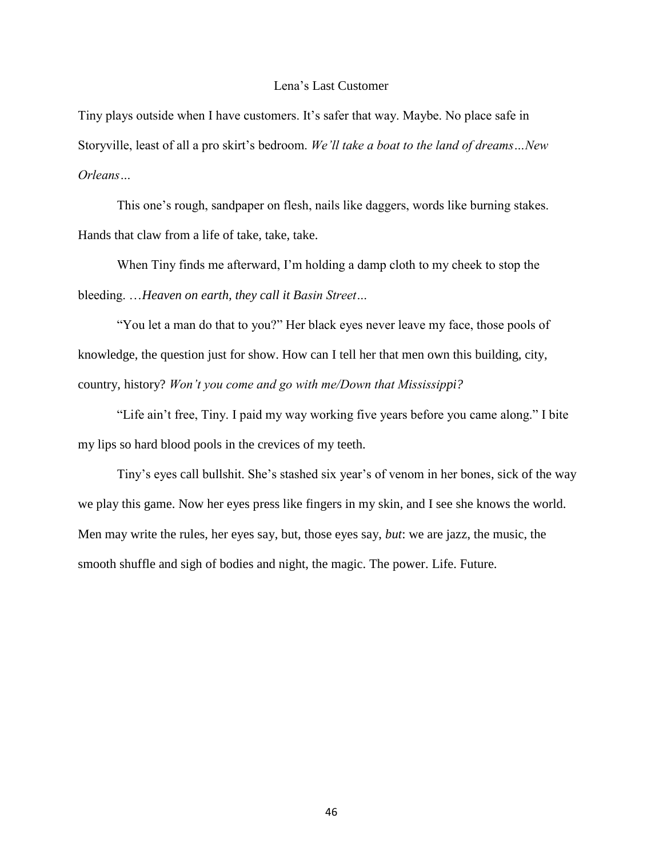#### Lena's Last Customer

Tiny plays outside when I have customers. It's safer that way. Maybe. No place safe in Storyville, least of all a pro skirt's bedroom. *We'll take a boat to the land of dreams…New Orleans…*

This one's rough, sandpaper on flesh, nails like daggers, words like burning stakes. Hands that claw from a life of take, take, take.

When Tiny finds me afterward, I'm holding a damp cloth to my cheek to stop the bleeding. …*Heaven on earth, they call it Basin Street…*

"You let a man do that to you?" Her black eyes never leave my face, those pools of knowledge, the question just for show. How can I tell her that men own this building, city, country, history? *Won't you come and go with me/Down that Mississippi?*

"Life ain't free, Tiny. I paid my way working five years before you came along." I bite my lips so hard blood pools in the crevices of my teeth.

Tiny's eyes call bullshit. She's stashed six year's of venom in her bones, sick of the way we play this game. Now her eyes press like fingers in my skin, and I see she knows the world. Men may write the rules, her eyes say, but, those eyes say, *but*: we are jazz, the music, the smooth shuffle and sigh of bodies and night, the magic. The power. Life. Future.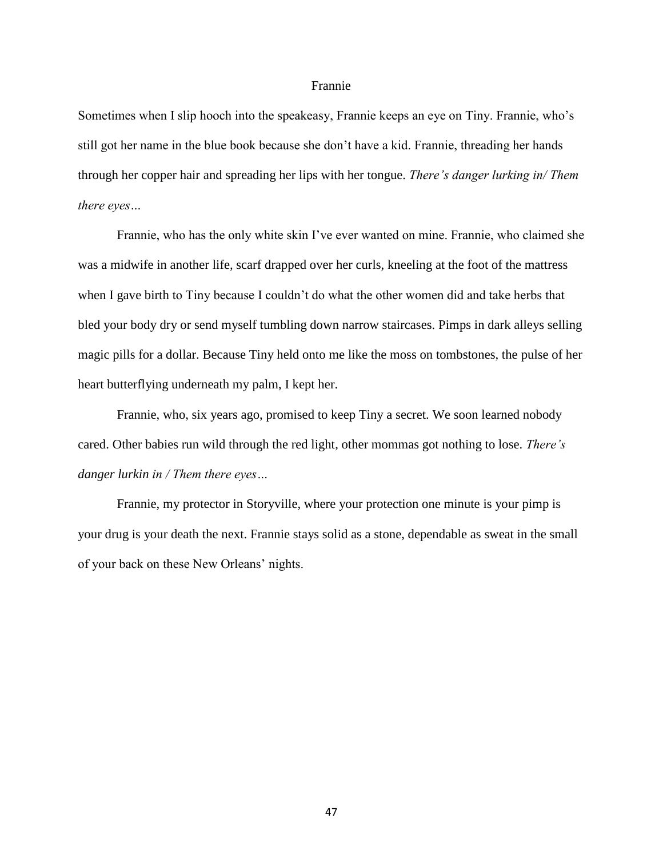#### Frannie

Sometimes when I slip hooch into the speakeasy, Frannie keeps an eye on Tiny. Frannie, who's still got her name in the blue book because she don't have a kid. Frannie, threading her hands through her copper hair and spreading her lips with her tongue. *There's danger lurking in/ Them there eyes…*

Frannie, who has the only white skin I've ever wanted on mine. Frannie, who claimed she was a midwife in another life, scarf drapped over her curls, kneeling at the foot of the mattress when I gave birth to Tiny because I couldn't do what the other women did and take herbs that bled your body dry or send myself tumbling down narrow staircases. Pimps in dark alleys selling magic pills for a dollar. Because Tiny held onto me like the moss on tombstones, the pulse of her heart butterflying underneath my palm, I kept her.

Frannie, who, six years ago, promised to keep Tiny a secret. We soon learned nobody cared. Other babies run wild through the red light, other mommas got nothing to lose. *There's danger lurkin in / Them there eyes…*

Frannie, my protector in Storyville, where your protection one minute is your pimp is your drug is your death the next. Frannie stays solid as a stone, dependable as sweat in the small of your back on these New Orleans' nights.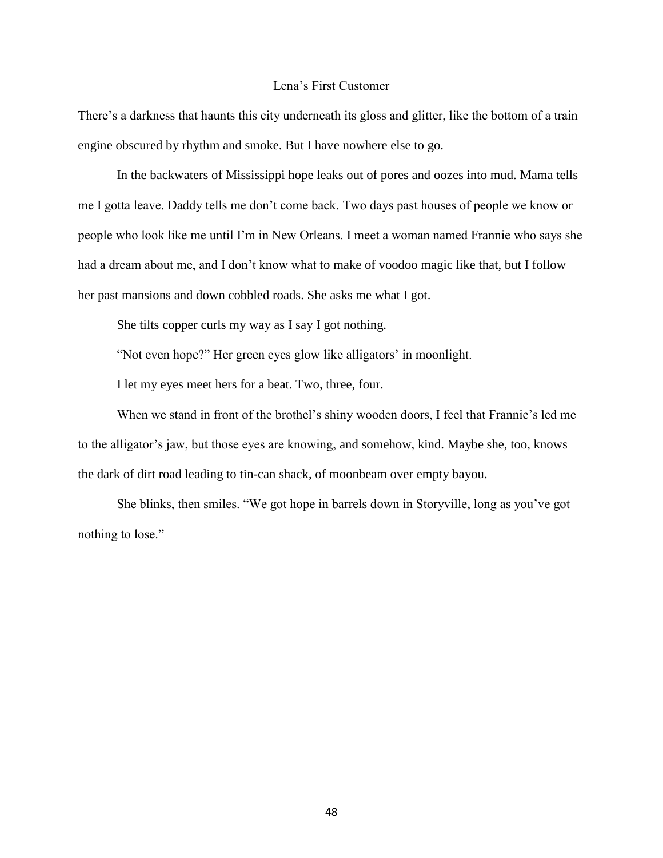#### Lena's First Customer

There's a darkness that haunts this city underneath its gloss and glitter, like the bottom of a train engine obscured by rhythm and smoke. But I have nowhere else to go.

In the backwaters of Mississippi hope leaks out of pores and oozes into mud. Mama tells me I gotta leave. Daddy tells me don't come back. Two days past houses of people we know or people who look like me until I'm in New Orleans. I meet a woman named Frannie who says she had a dream about me, and I don't know what to make of voodoo magic like that, but I follow her past mansions and down cobbled roads. She asks me what I got.

She tilts copper curls my way as I say I got nothing.

"Not even hope?" Her green eyes glow like alligators' in moonlight.

I let my eyes meet hers for a beat. Two, three, four.

When we stand in front of the brothel's shiny wooden doors, I feel that Frannie's led me to the alligator's jaw, but those eyes are knowing, and somehow, kind. Maybe she, too, knows the dark of dirt road leading to tin-can shack, of moonbeam over empty bayou.

She blinks, then smiles. "We got hope in barrels down in Storyville, long as you've got nothing to lose."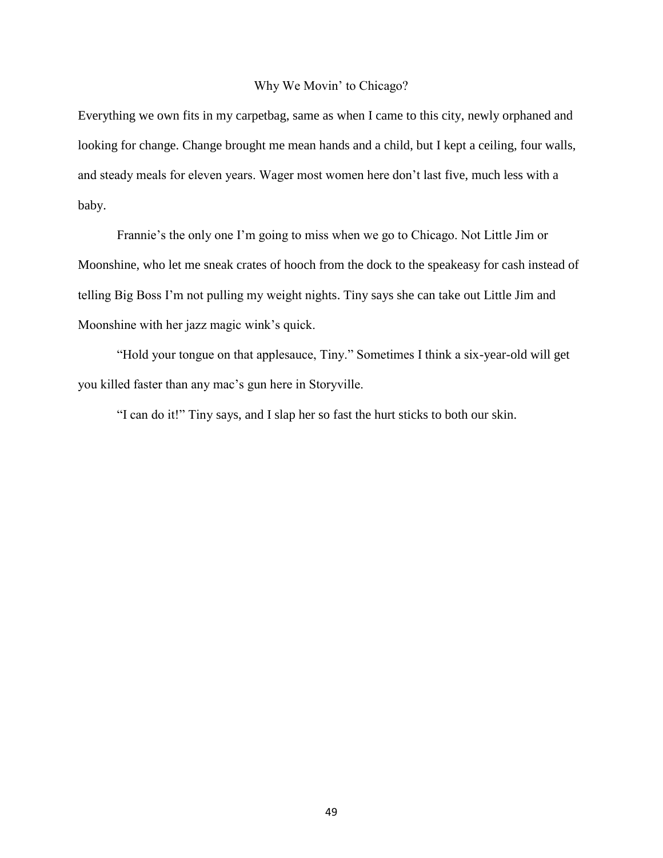#### Why We Movin' to Chicago?

Everything we own fits in my carpetbag, same as when I came to this city, newly orphaned and looking for change. Change brought me mean hands and a child, but I kept a ceiling, four walls, and steady meals for eleven years. Wager most women here don't last five, much less with a baby.

Frannie's the only one I'm going to miss when we go to Chicago. Not Little Jim or Moonshine, who let me sneak crates of hooch from the dock to the speakeasy for cash instead of telling Big Boss I'm not pulling my weight nights. Tiny says she can take out Little Jim and Moonshine with her jazz magic wink's quick.

"Hold your tongue on that applesauce, Tiny." Sometimes I think a six-year-old will get you killed faster than any mac's gun here in Storyville.

"I can do it!" Tiny says, and I slap her so fast the hurt sticks to both our skin.